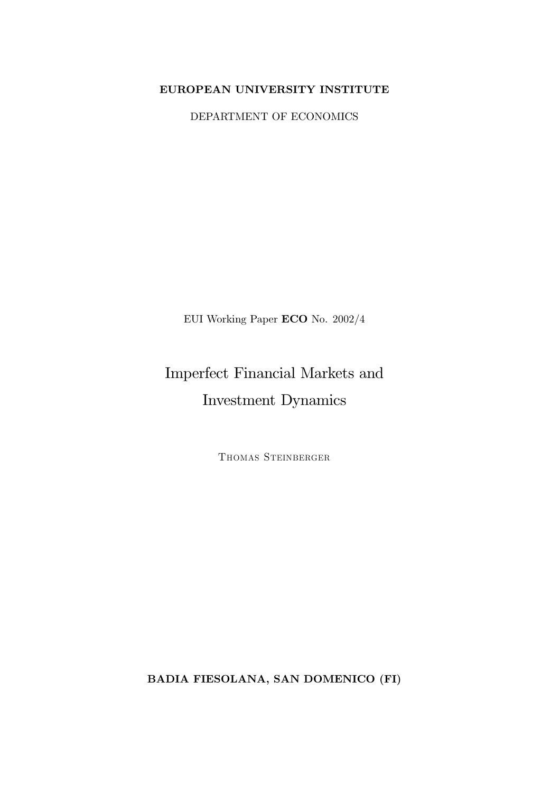## EUROPEAN UNIVERSITY INSTITUTE

DEPARTMENT OF ECONOMICS

EUI Working Paper  $ECO$  No.  $2002/4$ 

# Imperfect Financial Markets and Investment Dynamics

THOMAS STEINBERGER

**BADIA FIESOLANA, SAN DOMENICO (FI)**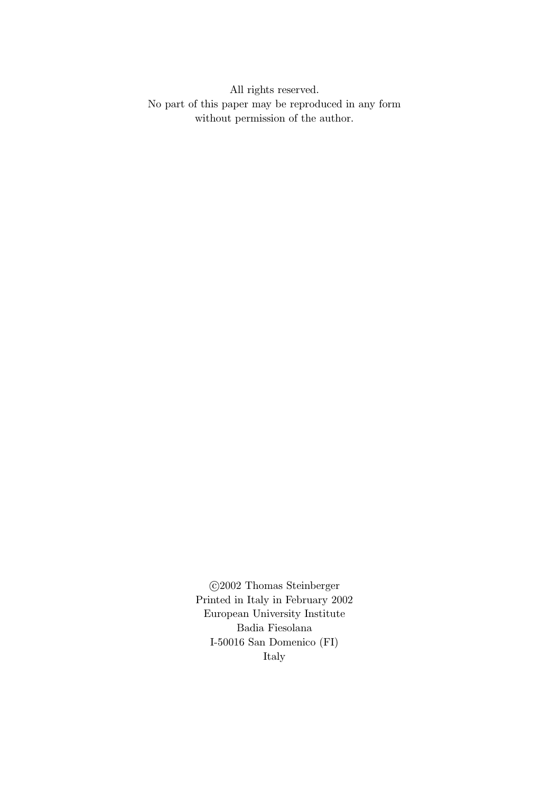All rights reserved. No part of this paper may be reproduced in any form without permission of the author.

> ©2002 Thomas Steinberger Printed in Italy in February 2002 European University Institute Badia Fiesolana I-50016 San Domenico (FI) Italy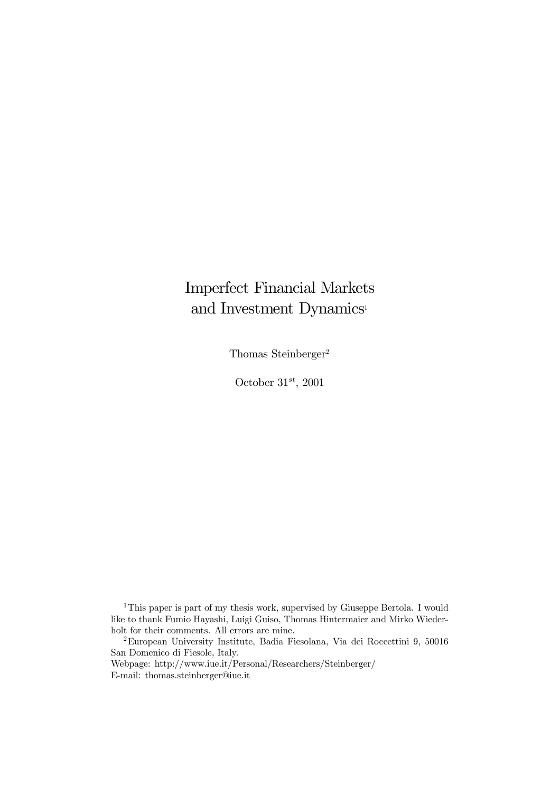## Imperfect Financial Markets and Investment Dynamics 1

Thomas Steinberger 2

October  $31^{st}$ , 2001

<sup>1</sup>This paper is part of my thesis work, supervised by Giuseppe Bertola. I would like to thank Fumio Hayashi, Luigi Guiso, Thomas Hintermaier and Mirko Wiederholt for their comments. All errors are mine.

<sup>2</sup>European University Institute, Badia Fiesolana, Via dei Roccettini 9, 50016 San Domenico di Fiesole, Italy.

Webpage: http://www.iue.it/Personal/Researchers/Steinberger/ E-mail: thomas.steinberger@iue.it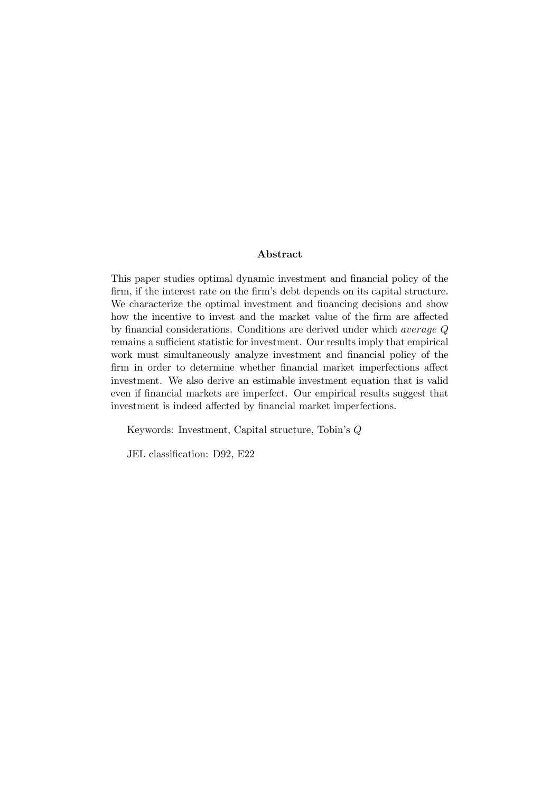#### Abstract

This paper studies optimal dynamic investment and financial policy of the firm, if the interest rate on the firm's debt depends on its capital structure. We characterize the optimal investment and financing decisions and show how the incentive to invest and the market value of the firm are affected by financial considerations. Conditions are derived under which *average*  $Q$ remains a sufficient statistic for investment. Our results imply that empirical work must simultaneously analyze investment and financial policy of the firm in order to determine whether financial market imperfections affect investment. We also derive an estimable investment equation that is valid even if financial markets are imperfect. Our empirical results suggest that investment is indeed affected by financial market imperfections.

Keywords: Investment, Capital structure, Tobin's Q

JEL classification: D92, E22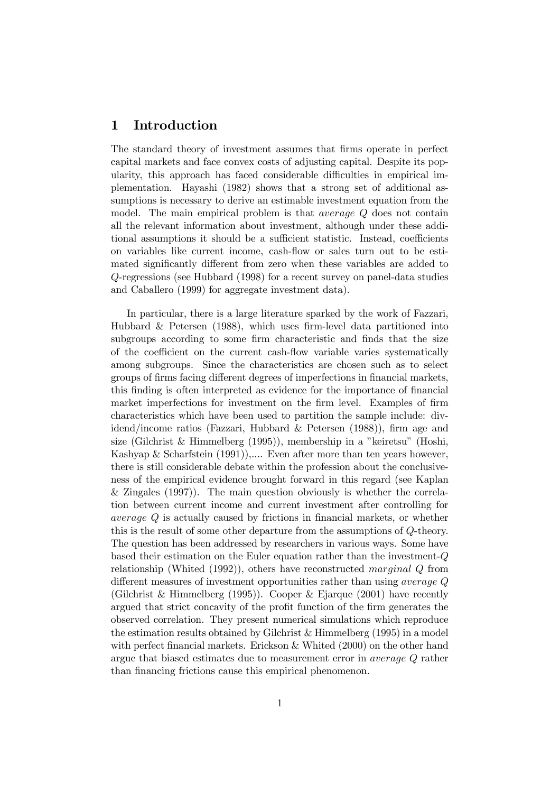## 1 Introduction

The standard theory of investment assumes that firms operate in perfect capital markets and face convex costs of adjusting capital. Despite its popularity, this approach has faced considerable difficulties in empirical implementation. Hayashi (1982) shows that a strong set of additional assumptions is necessary to derive an estimable investment equation from the model. The main empirical problem is that average Q does not contain all the relevant information about investment, although under these additional assumptions it should be a sufficient statistic. Instead, coefficients on variables like current income, cash-flow or sales turn out to be estimated significantly different from zero when these variables are added to Q-regressions (see Hubbard (1998) for a recent survey on panel-data studies and Caballero (1999) for aggregate investment data).

In particular, there is a large literature sparked by the work of Fazzari, Hubbard  $\&$  Petersen (1988), which uses firm-level data partitioned into subgroups according to some firm characteristic and finds that the size of the coefficient on the current cash-flow variable varies systematically among subgroups. Since the characteristics are chosen such as to select groups of firms facing different degrees of imperfections in financial markets, this finding is often interpreted as evidence for the importance of financial market imperfections for investment on the firm level. Examples of firm characteristics which have been used to partition the sample include: dividend/income ratios (Fazzari, Hubbard & Petersen  $(1988)$ ), firm age and size (Gilchrist & Himmelberg (1995)), membership in a "keiretsu" (Hoshi, Kashyap & Scharfstein (1991)),.... Even after more than ten years however, there is still considerable debate within the profession about the conclusiveness of the empirical evidence brought forward in this regard (see Kaplan & Zingales (1997)). The main question obviously is whether the correlation between current income and current investment after controlling for *average*  $Q$  is actually caused by frictions in financial markets, or whether this is the result of some other departure from the assumptions of Q-theory. The question has been addressed by researchers in various ways. Some have based their estimation on the Euler equation rather than the investment-Q relationship (Whited (1992)), others have reconstructed marginal Q from different measures of investment opportunities rather than using *average*  $Q$ (Gilchrist & Himmelberg (1995)). Cooper & Ejarque (2001) have recently argued that strict concavity of the profit function of the firm generates the observed correlation. They present numerical simulations which reproduce the estimation results obtained by Gilchrist & Himmelberg (1995) in a model with perfect financial markets. Erickson  $&$  Whited (2000) on the other hand argue that biased estimates due to measurement error in average Q rather than financing frictions cause this empirical phenomenon.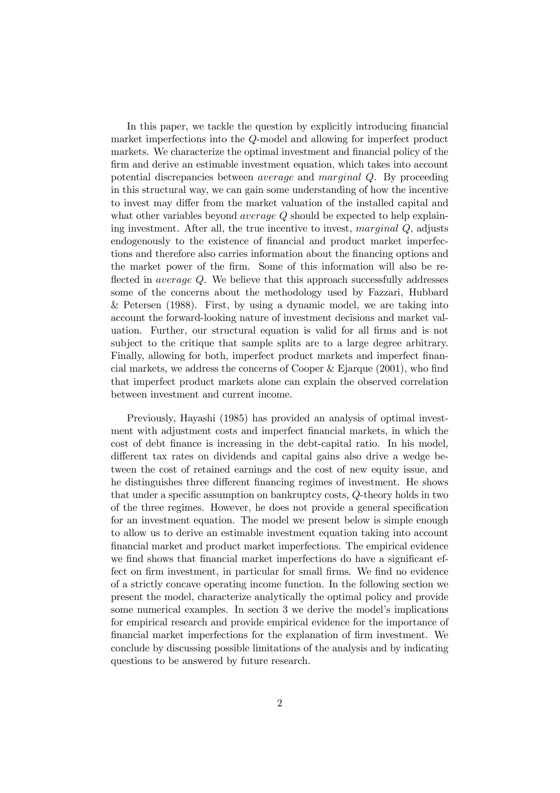In this paper, we tackle the question by explicitly introducing financial market imperfections into the Q-model and allowing for imperfect product markets. We characterize the optimal investment and financial policy of the firm and derive an estimable investment equation, which takes into account potential discrepancies between average and marginal Q. By proceeding in this structural way, we can gain some understanding of how the incentive to invest may differ from the market valuation of the installed capital and what other variables beyond *average Q* should be expected to help explaining investment. After all, the true incentive to invest, marginal Q, adjusts endogenously to the existence of financial and product market imperfections and therefore also carries information about the financing options and the market power of the firm. Some of this information will also be reflected in *average Q*. We believe that this approach successfully addresses some of the concerns about the methodology used by Fazzari, Hubbard & Petersen (1988). First, by using a dynamic model, we are taking into account the forward-looking nature of investment decisions and market valuation. Further, our structural equation is valid for all firms and is not subject to the critique that sample splits are to a large degree arbitrary. Finally, allowing for both, imperfect product markets and imperfect financial markets, we address the concerns of Cooper  $\&$  Ejarque (2001), who find that imperfect product markets alone can explain the observed correlation between investment and current income.

Previously, Hayashi (1985) has provided an analysis of optimal investment with adjustment costs and imperfect financial markets, in which the cost of debt finance is increasing in the debt-capital ratio. In his model, different tax rates on dividends and capital gains also drive a wedge between the cost of retained earnings and the cost of new equity issue, and he distinguishes three different financing regimes of investment. He shows that under a specific assumption on bankruptcy costs,  $Q$ -theory holds in two of the three regimes. However, he does not provide a general specification for an investment equation. The model we present below is simple enough to allow us to derive an estimable investment equation taking into account financial market and product market imperfections. The empirical evidence we find shows that financial market imperfections do have a significant effect on firm investment, in particular for small firms. We find no evidence of a strictly concave operating income function. In the following section we present the model, characterize analytically the optimal policy and provide some numerical examples. In section 3 we derive the model's implications for empirical research and provide empirical evidence for the importance of financial market imperfections for the explanation of firm investment. We conclude by discussing possible limitations of the analysis and by indicating questions to be answered by future research.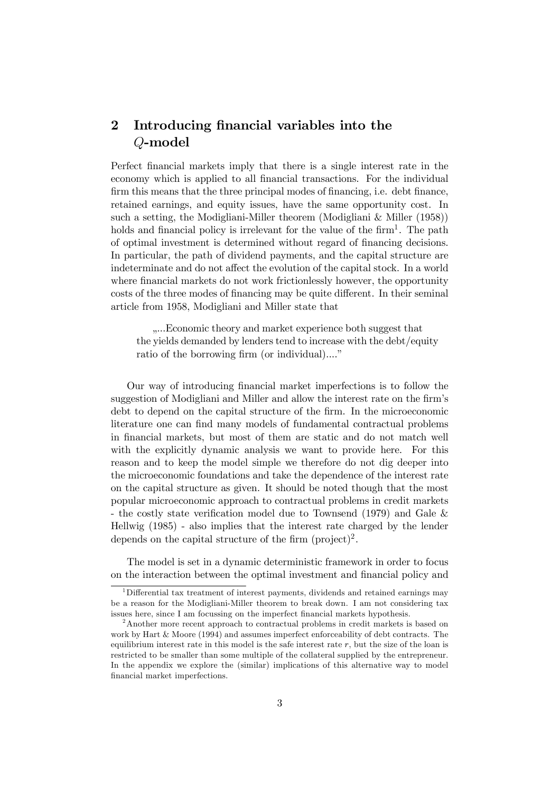## 2 Introducing financial variables into the Q-model

Perfect financial markets imply that there is a single interest rate in the economy which is applied to all financial transactions. For the individual firm this means that the three principal modes of financing, i.e. debt finance, retained earnings, and equity issues, have the same opportunity cost. In such a setting, the Modigliani-Miller theorem (Modigliani & Miller (1958)) holds and financial policy is irrelevant for the value of the firm<sup>1</sup>. The path of optimal investment is determined without regard of financing decisions. In particular, the path of dividend payments, and the capital structure are indeterminate and do not affect the evolution of the capital stock. In a world where financial markets do not work frictionlessly however, the opportunity costs of the three modes of financing may be quite different. In their seminal article from 1958, Modigliani and Miller state that

....Economic theory and market experience both suggest that the yields demanded by lenders tend to increase with the debt/equity ratio of the borrowing firm (or individual)...."

Our way of introducing financial market imperfections is to follow the suggestion of Modigliani and Miller and allow the interest rate on the firm's debt to depend on the capital structure of the firm. In the microeconomic literature one can find many models of fundamental contractual problems in financial markets, but most of them are static and do not match well with the explicitly dynamic analysis we want to provide here. For this reason and to keep the model simple we therefore do not dig deeper into the microeconomic foundations and take the dependence of the interest rate on the capital structure as given. It should be noted though that the most popular microeconomic approach to contractual problems in credit markets - the costly state verification model due to Townsend (1979) and Gale  $\&$ Hellwig (1985) - also implies that the interest rate charged by the lender depends on the capital structure of the firm  $(project)^2$ .

The model is set in a dynamic deterministic framework in order to focus on the interaction between the optimal investment and financial policy and

<sup>&</sup>lt;sup>1</sup>Differential tax treatment of interest payments, dividends and retained earnings may be a reason for the Modigliani-Miller theorem to break down. I am not considering tax issues here, since I am focussing on the imperfect financial markets hypothesis.

<sup>&</sup>lt;sup>2</sup>Another more recent approach to contractual problems in credit markets is based on work by Hart & Moore (1994) and assumes imperfect enforceability of debt contracts. The equilibrium interest rate in this model is the safe interest rate  $r$ , but the size of the loan is restricted to be smaller than some multiple of the collateral supplied by the entrepreneur. In the appendix we explore the (similar) implications of this alternative way to model financial market imperfections.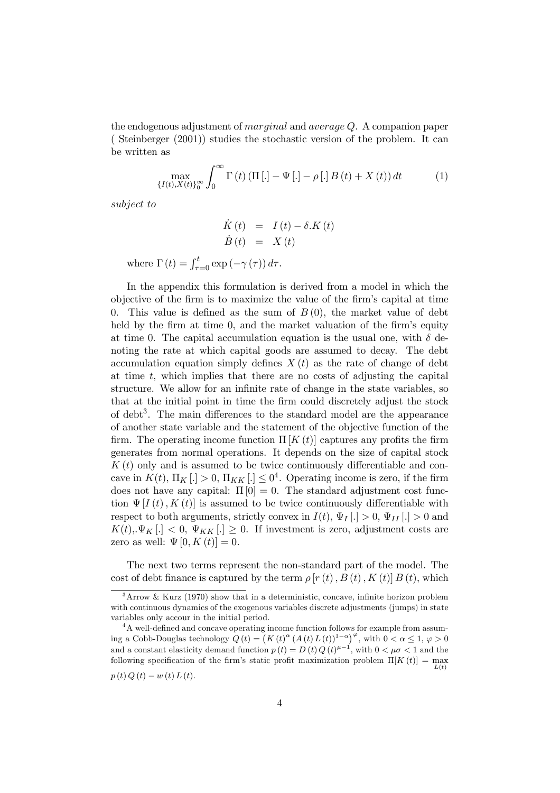the endogenous adjustment of *marginal* and *average Q.* A companion paper ( Steinberger (2001)) studies the stochastic version of the problem. It can be written as

$$
\max_{\{I(t),X(t)\}_{0}^{\infty}} \int_{0}^{\infty} \Gamma(t) \left(\Pi\left[.\right] - \Psi\left[.\right] - \rho\left[.\right]B\left(t\right) + X\left(t\right)\right) dt \tag{1}
$$

subject to

$$
\dot{K}(t) = I(t) - \delta.K(t) \n\dot{B}(t) = X(t)
$$

where  $\Gamma(t) = \int_{\tau=0}^{t} \exp(-\gamma(\tau)) d\tau$ .

In the appendix this formulation is derived from a model in which the objective of the firm is to maximize the value of the firm's capital at time 0. This value is defined as the sum of  $B(0)$ , the market value of debt held by the firm at time  $0$ , and the market valuation of the firm's equity at time 0. The capital accumulation equation is the usual one, with  $\delta$  denoting the rate at which capital goods are assumed to decay. The debt accumulation equation simply defines  $X(t)$  as the rate of change of debt at time  $t$ , which implies that there are no costs of adjusting the capital structure. We allow for an infinite rate of change in the state variables, so that at the initial point in time the firm could discretely adjust the stock of debt<sup>3</sup>. The main differences to the standard model are the appearance of another state variable and the statement of the objective function of the firm. The operating income function  $\Pi [ K(t) ]$  captures any profits the firm generates from normal operations. It depends on the size of capital stock  $K(t)$  only and is assumed to be twice continuously differentiable and concave in  $K(t)$ ,  $\Pi_K$ [.] > 0,  $\Pi_{KK}$ [.]  $\leq 0^4$ . Operating income is zero, if the firm does not have any capital:  $\Pi[0] = 0$ . The standard adjustment cost function  $\Psi[I(t), K(t)]$  is assumed to be twice continuously differentiable with respect to both arguments, strictly convex in  $I(t)$ ,  $\Psi_I[\cdot] > 0$ ,  $\Psi_{II}[\cdot] > 0$  and  $K(t), \Psi_K [.] < 0, \Psi_{KK} [.] \geq 0$ . If investment is zero, adjustment costs are zero as well:  $\Psi[0, K(t)] = 0.$ 

The next two terms represent the non-standard part of the model. The cost of debt finance is captured by the term  $\rho$  [r (t), B (t), K (t)] B (t), which

 $3\,\text{Arrow}$  & Kurz (1970) show that in a deterministic, concave, infinite horizon problem with continuous dynamics of the exogenous variables discrete adjustments (jumps) in state variables only accour in the initial period.

 $4A$  well-defined and concave operating income function follows for example from assuming a Cobb-Douglas technology  $Q(t) = (K(t)^\alpha (A(t) L(t))^{1-\alpha})^\varphi$ , with  $0 < \alpha \leq 1, \varphi > 0$ and a constant elasticity demand function  $p(t) = D(t) Q(t)^{\mu-1}$ , with  $0 < \mu\sigma < 1$  and the following specification of the firm's static profit maximization problem  $\Pi[K(t)] = \max_{L(t)}$  $p(t) Q(t) - w(t) L(t)$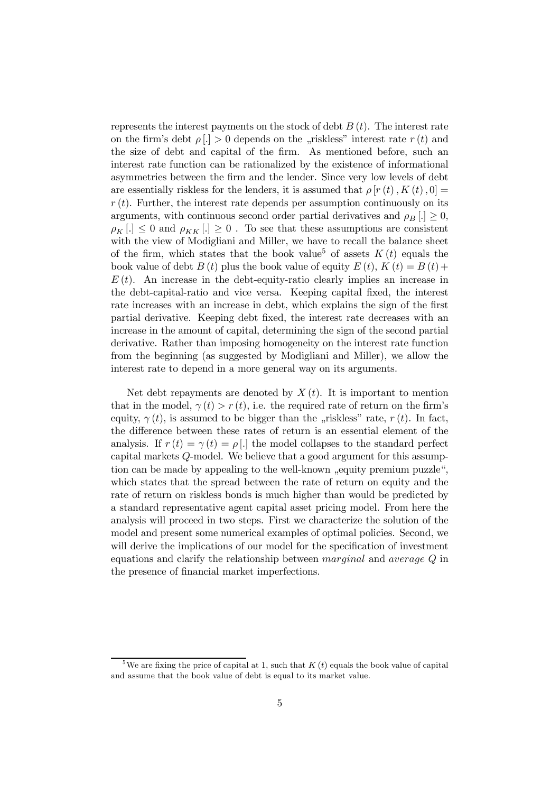represents the interest payments on the stock of debt  $B(t)$ . The interest rate on the firm's debt  $\rho(.) > 0$  depends on the "riskless" interest rate  $r(t)$  and the size of debt and capital of the firm. As mentioned before, such an interest rate function can be rationalized by the existence of informational asymmetries between the firm and the lender. Since very low levels of debt are essentially riskless for the lenders, it is assumed that  $\rho [r(t), K(t), 0] =$  $r(t)$ . Further, the interest rate depends per assumption continuously on its arguments, with continuous second order partial derivatives and  $\rho_B [.] \geq 0$ ,  $\rho_K$ [.]  $\leq 0$  and  $\rho_{KK}$ [.]  $\geq 0$ . To see that these assumptions are consistent with the view of Modigliani and Miller, we have to recall the balance sheet of the firm, which states that the book value<sup>5</sup> of assets  $K(t)$  equals the book value of debt  $B(t)$  plus the book value of equity  $E(t)$ ,  $K(t) = B(t)$ +  $E(t)$ . An increase in the debt-equity-ratio clearly implies an increase in the debt-capital-ratio and vice versa. Keeping capital fixed, the interest rate increases with an increase in debt, which explains the sign of the first partial derivative. Keeping debt fixed, the interest rate decreases with an increase in the amount of capital, determining the sign of the second partial derivative. Rather than imposing homogeneity on the interest rate function from the beginning (as suggested by Modigliani and Miller), we allow the interest rate to depend in a more general way on its arguments.

Net debt repayments are denoted by  $X(t)$ . It is important to mention that in the model,  $\gamma(t) > r(t)$ , i.e. the required rate of return on the firm's equity,  $\gamma(t)$ , is assumed to be bigger than the "riskless" rate,  $r(t)$ . In fact, the difference between these rates of return is an essential element of the analysis. If  $r(t) = \gamma(t) = \rho$ . [.] the model collapses to the standard perfect capital markets Q-model. We believe that a good argument for this assumption can be made by appealing to the well-known "equity premium puzzle", which states that the spread between the rate of return on equity and the rate of return on riskless bonds is much higher than would be predicted by a standard representative agent capital asset pricing model. From here the analysis will proceed in two steps. First we characterize the solution of the model and present some numerical examples of optimal policies. Second, we will derive the implications of our model for the specification of investment equations and clarify the relationship between marginal and average Q in the presence of financial market imperfections.

<sup>&</sup>lt;sup>5</sup>We are fixing the price of capital at 1, such that  $K(t)$  equals the book value of capital and assume that the book value of debt is equal to its market value.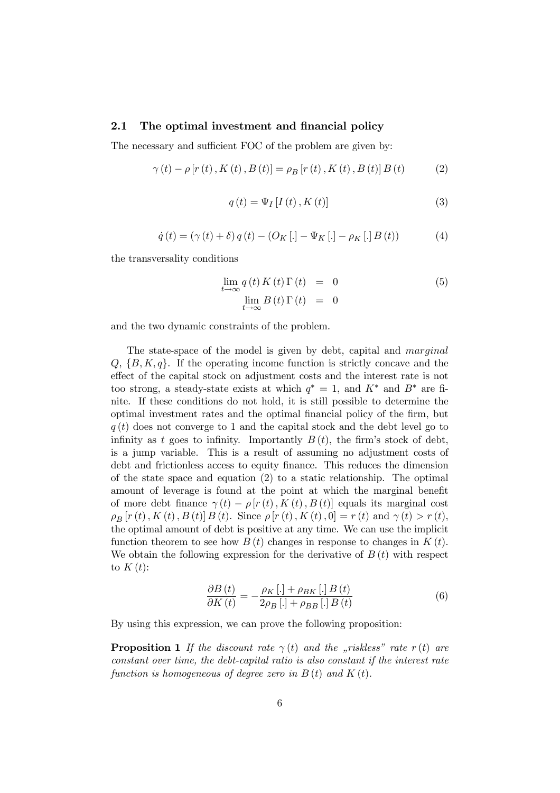#### 2.1 The optimal investment and financial policy

The necessary and sufficient FOC of the problem are given by:

$$
\gamma(t) - \rho [r(t), K(t), B(t)] = \rho_B [r(t), K(t), B(t)] B(t)
$$
 (2)

$$
q(t) = \Psi_I [I(t), K(t)] \tag{3}
$$

$$
\dot{q}(t) = (\gamma(t) + \delta) q(t) - (O_K [.] - \Psi_K [.] - \rho_K [.] B(t))
$$
\n(4)

the transversality conditions

$$
\lim_{t \to \infty} q(t) K(t) \Gamma(t) = 0
$$
\n
$$
\lim_{t \to \infty} B(t) \Gamma(t) = 0
$$
\n(5)

and the two dynamic constraints of the problem.

The state-space of the model is given by debt, capital and *marginal*  $Q, \{B, K, q\}$ . If the operating income function is strictly concave and the effect of the capital stock on adjustment costs and the interest rate is not too strong, a steady-state exists at which  $q^* = 1$ , and  $K^*$  and  $B^*$  are finite. If these conditions do not hold, it is still possible to determine the optimal investment rates and the optimal financial policy of the firm, but  $q(t)$  does not converge to 1 and the capital stock and the debt level go to infinity as t goes to infinity. Importantly  $B(t)$ , the firm's stock of debt, is a jump variable. This is a result of assuming no adjustment costs of debt and frictionless access to equity finance. This reduces the dimension of the state space and equation (2) to a static relationship. The optimal amount of leverage is found at the point at which the marginal benefit of more debt finance  $\gamma(t) - \rho [r(t), K(t), B(t)]$  equals its marginal cost  $\rho_B[r(t), K(t), B(t)] B(t)$ . Since  $\rho[r(t), K(t), 0] = r(t)$  and  $\gamma(t) > r(t)$ , the optimal amount of debt is positive at any time. We can use the implicit function theorem to see how  $B(t)$  changes in response to changes in  $K(t)$ . We obtain the following expression for the derivative of  $B(t)$  with respect to  $K(t)$ :

$$
\frac{\partial B\left(t\right)}{\partial K\left(t\right)} = -\frac{\rho_K\left[.\right] + \rho_{BK}\left[.\right]B\left(t\right)}{2\rho_B\left[.\right] + \rho_{BB}\left[.\right]B\left(t\right)}\tag{6}
$$

By using this expression, we can prove the following proposition:

**Proposition 1** If the discount rate  $\gamma(t)$  and the "riskless" rate r(t) are constant over time, the debt-capital ratio is also constant if the interest rate function is homogeneous of degree zero in  $B(t)$  and  $K(t)$ .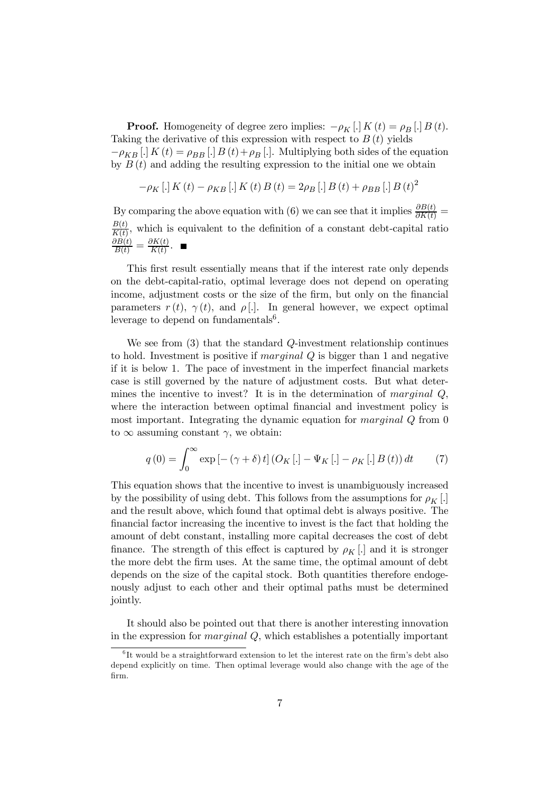**Proof.** Homogeneity of degree zero implies:  $-\rho_K$  |  $K(t) = \rho_B$  |  $B(t)$ . Taking the derivative of this expression with respect to  $B(t)$  yields  $-\rho_{KB}$  [.]  $K(t) = \rho_{BB}$  [.]  $B(t) + \rho_B$  [.]. Multiplying both sides of the equation by  $B(t)$  and adding the resulting expression to the initial one we obtain

$$
-\rho_{K} [.] K(t) - \rho_{KB} [.] K(t) B(t) = 2\rho_{B} [.] B(t) + \rho_{BB} [.] B(t)^{2}
$$

By comparing the above equation with (6) we can see that it implies  $\frac{\partial B(t)}{\partial K(t)} =$  $B(t)$  $\frac{B(t)}{K(t)}$ , which is equivalent to the definition of a constant debt-capital ratio  $\frac{\partial B(t)}{B(t)} = \frac{\partial K(t)}{K(t)}$  $\frac{\partial K(t)}{K(t)}$ .

This first result essentially means that if the interest rate only depends on the debt-capital-ratio, optimal leverage does not depend on operating income, adjustment costs or the size of the firm, but only on the financial parameters  $r(t)$ ,  $\gamma(t)$ , and  $\rho$ [.]. In general however, we expect optimal leverage to depend on fundamentals<sup>6</sup>.

We see from  $(3)$  that the standard Q-investment relationship continues to hold. Investment is positive if marginal Q is bigger than 1 and negative if it is below 1. The pace of investment in the imperfect financial markets case is still governed by the nature of adjustment costs. But what determines the incentive to invest? It is in the determination of *marginal*  $Q$ , where the interaction between optimal financial and investment policy is most important. Integrating the dynamic equation for *marginal* Q from 0 to  $\infty$  assuming constant  $\gamma$ , we obtain:

$$
q(0) = \int_0^\infty \exp\left[-\left(\gamma + \delta\right)t\right] \left(O_K\left[.\right] - \Psi_K\left[.\right] - \rho_K\left[.\right]B\left(t\right)\right) dt \tag{7}
$$

This equation shows that the incentive to invest is unambiguously increased by the possibility of using debt. This follows from the assumptions for  $\rho_K$ . and the result above, which found that optimal debt is always positive. The financial factor increasing the incentive to invest is the fact that holding the amount of debt constant, installing more capital decreases the cost of debt finance. The strength of this effect is captured by  $\rho_K$ [.] and it is stronger the more debt the firm uses. At the same time, the optimal amount of debt depends on the size of the capital stock. Both quantities therefore endogenously adjust to each other and their optimal paths must be determined jointly.

It should also be pointed out that there is another interesting innovation in the expression for *marginal*  $Q$ , which establishes a potentially important

 ${}^{6}$ It would be a straightforward extension to let the interest rate on the firm's debt also depend explicitly on time. Then optimal leverage would also change with the age of the firm.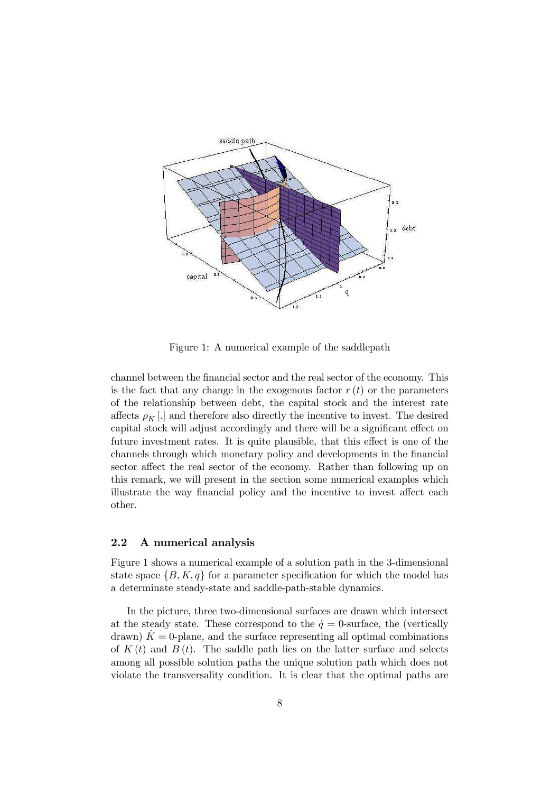

Figure 1: A numerical example of the saddlepath

channel between the financial sector and the real sector of the economy. This is the fact that any change in the exogenous factor  $r(t)$  or the parameters of the relationship between debt, the capital stock and the interest rate affects  $\rho_K$ [.] and therefore also directly the incentive to invest. The desired capital stock will adjust accordingly and there will be a significant effect on future investment rates. It is quite plausible, that this effect is one of the channels through which monetary policy and developments in the financial sector affect the real sector of the economy. Rather than following up on this remark, we will present in the section some numerical examples which illustrate the way financial policy and the incentive to invest affect each other.

#### 2.2 A numerical analysis

Figure 1 shows a numerical example of a solution path in the 3-dimensional state space  $\{B, K, q\}$  for a parameter specification for which the model has a determinate steady-state and saddle-path-stable dynamics.

In the picture, three two-dimensional surfaces are drawn which intersect at the steady state. These correspond to the  $\dot{q} = 0$ -surface, the (vertically drawn)  $K = 0$ -plane, and the surface representing all optimal combinations of  $K(t)$  and  $B(t)$ . The saddle path lies on the latter surface and selects among all possible solution paths the unique solution path which does not violate the transversality condition. It is clear that the optimal paths are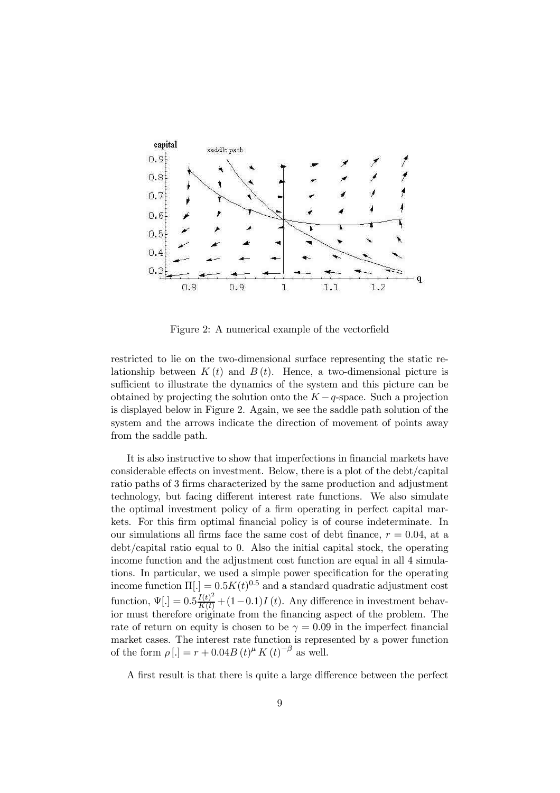

Figure 2: A numerical example of the vector field

restricted to lie on the two-dimensional surface representing the static relationship between  $K(t)$  and  $B(t)$ . Hence, a two-dimensional picture is sufficient to illustrate the dynamics of the system and this picture can be obtained by projecting the solution onto the  $K-q$ -space. Such a projection is displayed below in Figure 2. Again, we see the saddle path solution of the system and the arrows indicate the direction of movement of points away from the saddle path.

It is also instructive to show that imperfections in financial markets have considerable effects on investment. Below, there is a plot of the debt/capital ratio paths of 3 firms characterized by the same production and adjustment technology, but facing different interest rate functions. We also simulate the optimal investment policy of a firm operating in perfect capital markets. For this firm optimal financial policy is of course indeterminate. In our simulations all firms face the same cost of debt finance,  $r = 0.04$ , at a debt/capital ratio equal to 0. Also the initial capital stock, the operating income function and the adjustment cost function are equal in all 4 simulations. In particular, we used a simple power specification for the operating income function  $\Pi(.) = 0.5K(t)^{0.5}$  and a standard quadratic adjustment cost function,  $\Psi$ [.] =  $0.5 \frac{I(t)^2}{K(t)} + (1 - 0.1)I(t)$ . Any difference in investment behavior must therefore originate from the financing aspect of the problem. The rate of return on equity is chosen to be  $\gamma = 0.09$  in the imperfect financial market cases. The interest rate function is represented by a power function of the form  $\rho$ [.] =  $r + 0.04B(t)^{\mu} K(t)^{-\beta}$  as well.

A first result is that there is quite a large difference between the perfect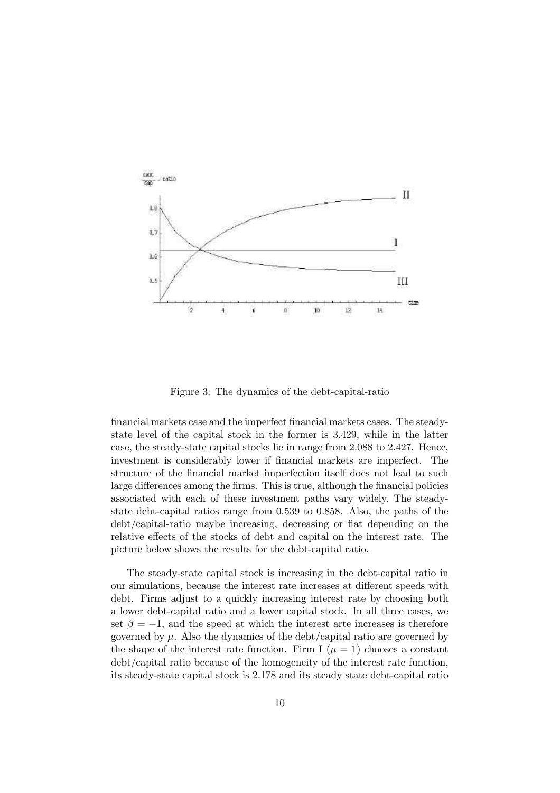

Figure 3: The dynamics of the debt-capital-ratio

financial markets case and the imperfect financial markets cases. The steadystate level of the capital stock in the former is 3:429, while in the latter case, the steady-state capital stocks lie in range from 2:088 to 2:427. Hence, investment is considerably lower if financial markets are imperfect. The structure of the financial market imperfection itself does not lead to such large differences among the firms. This is true, although the financial policies associated with each of these investment paths vary widely. The steadystate debt-capital ratios range from 0:539 to 0:858. Also, the paths of the debt/capital-ratio maybe increasing, decreasing or flat depending on the relative effects of the stocks of debt and capital on the interest rate. The picture below shows the results for the debt-capital ratio.

The steady-state capital stock is increasing in the debt-capital ratio in our simulations, because the interest rate increases at different speeds with debt. Firms adjust to a quickly increasing interest rate by choosing both a lower debt-capital ratio and a lower capital stock. In all three cases, we set  $\beta = -1$ , and the speed at which the interest arte increases is therefore governed by  $\mu$ . Also the dynamics of the debt/capital ratio are governed by the shape of the interest rate function. Firm I  $(\mu = 1)$  chooses a constant debt/capital ratio because of the homogeneity of the interest rate function, its steady-state capital stock is 2:178 and its steady state debt-capital ratio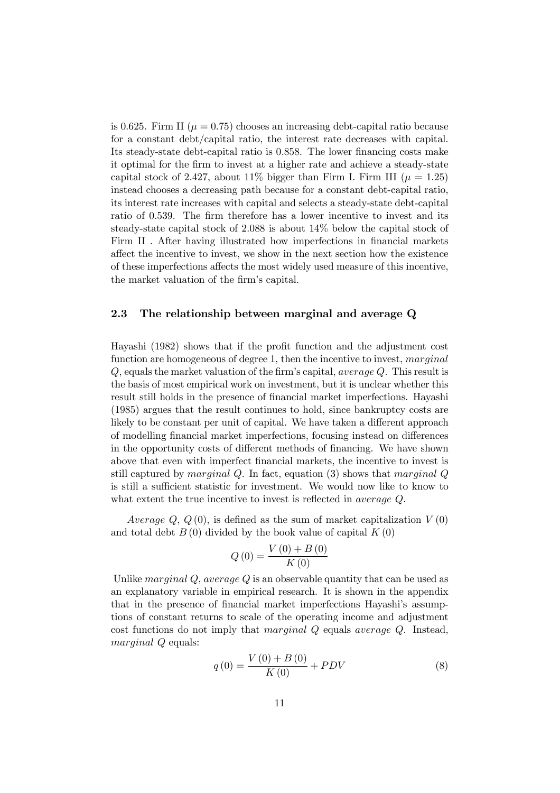is 0.625. Firm II ( $\mu = 0.75$ ) chooses an increasing debt-capital ratio because for a constant debt/capital ratio, the interest rate decreases with capital. Its steady-state debt-capital ratio is  $0.858$ . The lower financing costs make it optimal for the firm to invest at a higher rate and achieve a steady-state capital stock of 2.427, about 11% bigger than Firm I. Firm III ( $\mu = 1.25$ ) instead chooses a decreasing path because for a constant debt-capital ratio, its interest rate increases with capital and selects a steady-state debt-capital ratio of 0.539. The firm therefore has a lower incentive to invest and its steady-state capital stock of 2:088 is about 14% below the capital stock of Firm II . After having illustrated how imperfections in financial markets affect the incentive to invest, we show in the next section how the existence of these imperfections a¤ects the most widely used measure of this incentive, the market valuation of the firm's capital.

#### 2.3 The relationship between marginal and average Q

Hayashi (1982) shows that if the profit function and the adjustment cost function are homogeneous of degree 1, then the incentive to invest, *marginal*  $Q$ , equals the market valuation of the firm's capital, *average Q*. This result is the basis of most empirical work on investment, but it is unclear whether this result still holds in the presence of financial market imperfections. Hayashi (1985) argues that the result continues to hold, since bankruptcy costs are likely to be constant per unit of capital. We have taken a different approach of modelling financial market imperfections, focusing instead on differences in the opportunity costs of different methods of financing. We have shown above that even with imperfect financial markets, the incentive to invest is still captured by *marginal Q*. In fact, equation  $(3)$  shows that *marginal Q* is still a sufficient statistic for investment. We would now like to know to what extent the true incentive to invest is reflected in *average*  $Q$ .

Average  $Q, Q(0)$ , is defined as the sum of market capitalization  $V(0)$ and total debt  $B(0)$  divided by the book value of capital  $K(0)$ 

$$
Q(0) = \frac{V(0) + B(0)}{K(0)}
$$

Unlike marginal  $Q$ , average  $Q$  is an observable quantity that can be used as an explanatory variable in empirical research. It is shown in the appendix that in the presence of financial market imperfections Hayashi's assumptions of constant returns to scale of the operating income and adjustment cost functions do not imply that marginal Q equals average Q. Instead, marginal  $Q$  equals:

$$
q(0) = \frac{V(0) + B(0)}{K(0)} + PDV
$$
\n(8)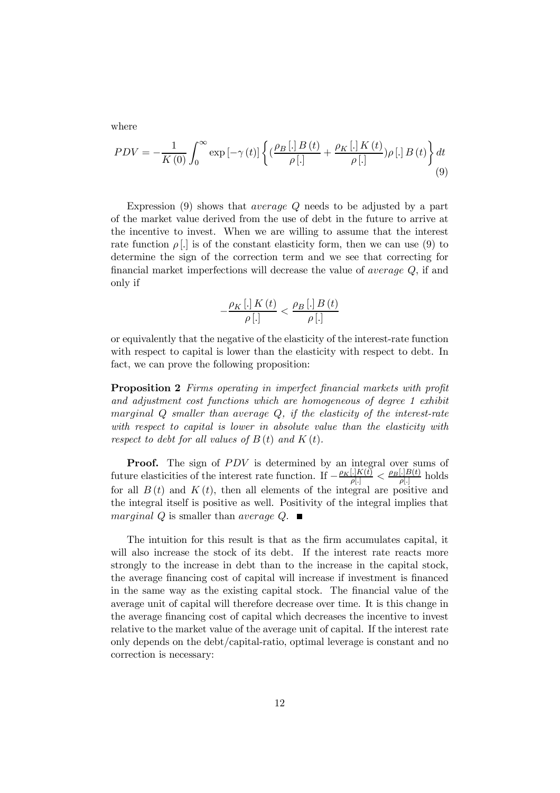where

$$
PDV = -\frac{1}{K(0)} \int_0^\infty \exp\left[-\gamma(t)\right] \left\{ \left(\frac{\rho_B[\cdot]B(t)}{\rho[\cdot]} + \frac{\rho_K[\cdot]K(t)}{\rho[\cdot]} \right) \rho[\cdot]B(t) \right\} dt
$$
\n(9)

Expression (9) shows that *average Q* needs to be adjusted by a part of the market value derived from the use of debt in the future to arrive at the incentive to invest. When we are willing to assume that the interest rate function  $\rho$ [.] is of the constant elasticity form, then we can use (9) to determine the sign of the correction term and we see that correcting for financial market imperfections will decrease the value of *average Q*, if and only if

$$
-\frac{\rho_{K}\left[.\right]K\left(t\right)}{\rho\left[.\right]} < \frac{\rho_{B}\left[.\right]B\left(t\right)}{\rho\left[.\right]}
$$

or equivalently that the negative of the elasticity of the interest-rate function with respect to capital is lower than the elasticity with respect to debt. In fact, we can prove the following proposition:

**Proposition 2** Firms operating in imperfect financial markets with profit and adjustment cost functions which are homogeneous of degree 1 exhibit marginal  $Q$  smaller than average  $Q$ , if the elasticity of the interest-rate with respect to capital is lower in absolute value than the elasticity with respect to debt for all values of  $B(t)$  and  $K(t)$ .

**Proof.** The sign of PDV is determined by an integral over sums of future elasticities of the interest rate function. If  $-\frac{\rho_K[.]K(t)}{\rho(.)} < \frac{\rho_B[.]B(t)}{\rho(.)}$  holds for all  $B(t)$  and  $K(t)$ , then all elements of the integral are positive and the integral itself is positive as well. Positivity of the integral implies that marginal Q is smaller than average  $Q$ .

The intuition for this result is that as the firm accumulates capital, it will also increase the stock of its debt. If the interest rate reacts more strongly to the increase in debt than to the increase in the capital stock, the average financing cost of capital will increase if investment is financed in the same way as the existing capital stock. The financial value of the average unit of capital will therefore decrease over time. It is this change in the average financing cost of capital which decreases the incentive to invest relative to the market value of the average unit of capital. If the interest rate only depends on the debt/capital-ratio, optimal leverage is constant and no correction is necessary: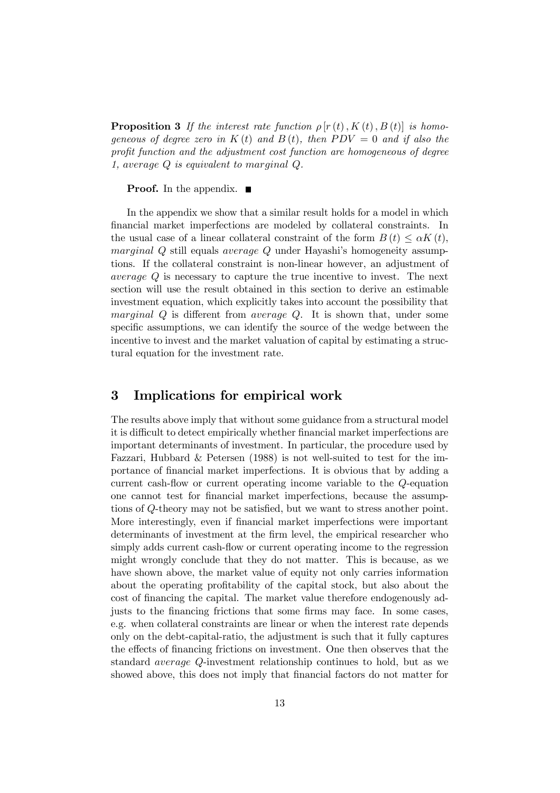**Proposition 3** If the interest rate function  $\rho | r(t), K(t), B(t) |$  is homogeneous of degree zero in  $K(t)$  and  $B(t)$ , then  $PDV = 0$  and if also the profit function and the adjustment cost function are homogeneous of degree 1, average Q is equivalent to marginal Q.

**Proof.** In the appendix.  $\blacksquare$ 

In the appendix we show that a similar result holds for a model in which financial market imperfections are modeled by collateral constraints. In the usual case of a linear collateral constraint of the form  $B(t) \leq \alpha K(t)$ , marginal Q still equals average Q under Hayashi's homogeneity assumptions. If the collateral constraint is non-linear however, an adjustment of average Q is necessary to capture the true incentive to invest. The next section will use the result obtained in this section to derive an estimable investment equation, which explicitly takes into account the possibility that marginal  $Q$  is different from average  $Q$ . It is shown that, under some specific assumptions, we can identify the source of the wedge between the incentive to invest and the market valuation of capital by estimating a structural equation for the investment rate.

## 3 Implications for empirical work

The results above imply that without some guidance from a structural model it is difficult to detect empirically whether financial market imperfections are important determinants of investment. In particular, the procedure used by Fazzari, Hubbard & Petersen (1988) is not well-suited to test for the importance of financial market imperfections. It is obvious that by adding a current cash-flow or current operating income variable to the  $Q$ -equation one cannot test for financial market imperfections, because the assumptions of Q-theory may not be satisfied, but we want to stress another point. More interestingly, even if financial market imperfections were important determinants of investment at the firm level, the empirical researcher who simply adds current cash-flow or current operating income to the regression might wrongly conclude that they do not matter. This is because, as we have shown above, the market value of equity not only carries information about the operating profitability of the capital stock, but also about the cost of financing the capital. The market value therefore endogenously adjusts to the financing frictions that some firms may face. In some cases, e.g. when collateral constraints are linear or when the interest rate depends only on the debt-capital-ratio, the adjustment is such that it fully captures the effects of financing frictions on investment. One then observes that the standard average Q-investment relationship continues to hold, but as we showed above, this does not imply that financial factors do not matter for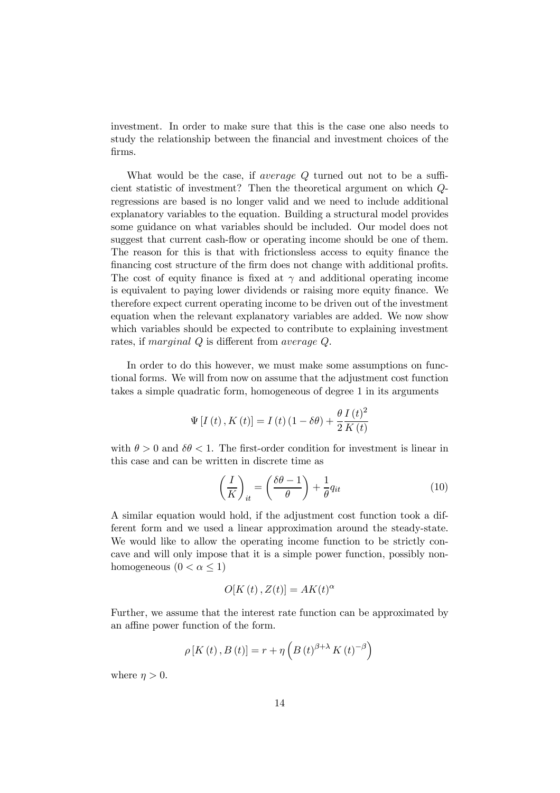investment. In order to make sure that this is the case one also needs to study the relationship between the financial and investment choices of the firms.

What would be the case, if *average Q* turned out not to be a sufficient statistic of investment? Then the theoretical argument on which Qregressions are based is no longer valid and we need to include additional explanatory variables to the equation. Building a structural model provides some guidance on what variables should be included. Our model does not suggest that current cash-flow or operating income should be one of them. The reason for this is that with frictionsless access to equity finance the financing cost structure of the firm does not change with additional profits. The cost of equity finance is fixed at  $\gamma$  and additional operating income is equivalent to paying lower dividends or raising more equity finance. We therefore expect current operating income to be driven out of the investment equation when the relevant explanatory variables are added. We now show which variables should be expected to contribute to explaining investment rates, if marginal  $Q$  is different from average  $Q$ .

In order to do this however, we must make some assumptions on functional forms. We will from now on assume that the adjustment cost function takes a simple quadratic form, homogeneous of degree 1 in its arguments

$$
\Psi\left[I\left(t\right),K\left(t\right)\right] = I\left(t\right)\left(1 - \delta\theta\right) + \frac{\theta}{2}\frac{I\left(t\right)^2}{K\left(t\right)}
$$

with  $\theta > 0$  and  $\delta \theta < 1$ . The first-order condition for investment is linear in this case and can be written in discrete time as

$$
\left(\frac{I}{K}\right)_{it} = \left(\frac{\delta\theta - 1}{\theta}\right) + \frac{1}{\theta}q_{it}
$$
\n(10)

A similar equation would hold, if the adjustment cost function took a different form and we used a linear approximation around the steady-state. We would like to allow the operating income function to be strictly concave and will only impose that it is a simple power function, possibly nonhomogeneous  $(0 < \alpha \leq 1)$ 

$$
O[K(t), Z(t)] = AK(t)^{\alpha}
$$

Further, we assume that the interest rate function can be approximated by an affine power function of the form.

$$
\rho\left[K\left(t\right),B\left(t\right)\right]=r+\eta\left(B\left(t\right)^{\beta+\lambda}K\left(t\right)^{-\beta}\right)
$$

where  $\eta > 0$ .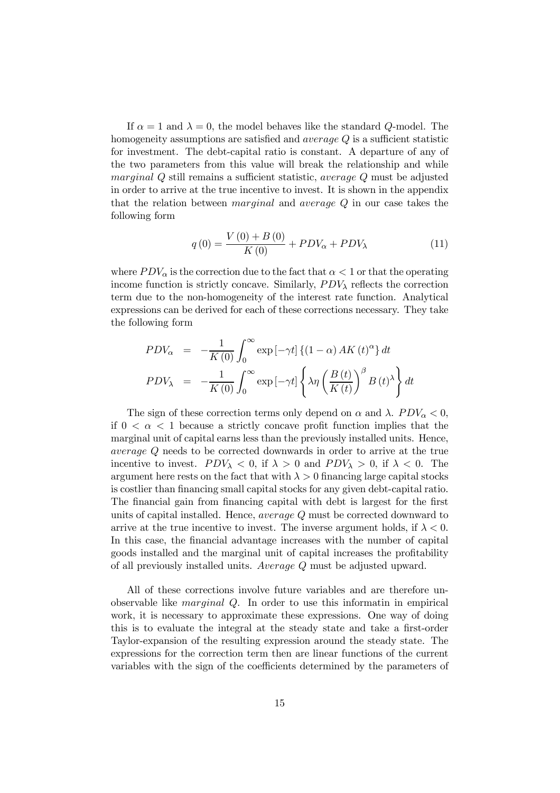If  $\alpha = 1$  and  $\lambda = 0$ , the model behaves like the standard Q-model. The homogeneity assumptions are satisfied and *average*  $Q$  is a sufficient statistic for investment. The debt-capital ratio is constant. A departure of any of the two parameters from this value will break the relationship and while marginal  $Q$  still remains a sufficient statistic, *average*  $Q$  must be adjusted in order to arrive at the true incentive to invest. It is shown in the appendix that the relation between marginal and average Q in our case takes the following form

$$
q(0) = \frac{V(0) + B(0)}{K(0)} + PDV_{\alpha} + PDV_{\lambda}
$$
 (11)

where  $PDV_{\alpha}$  is the correction due to the fact that  $\alpha < 1$  or that the operating income function is strictly concave. Similarly,  $PDV<sub>\lambda</sub>$  reflects the correction term due to the non-homogeneity of the interest rate function. Analytical expressions can be derived for each of these corrections necessary. They take the following form

$$
PDV_{\alpha} = -\frac{1}{K(0)} \int_0^{\infty} \exp[-\gamma t] \left\{ (1 - \alpha) AK(t)^{\alpha} \right\} dt
$$
  
\n
$$
PDV_{\lambda} = -\frac{1}{K(0)} \int_0^{\infty} \exp[-\gamma t] \left\{ \lambda \eta \left( \frac{B(t)}{K(t)} \right)^{\beta} B(t)^{\lambda} \right\} dt
$$

The sign of these correction terms only depend on  $\alpha$  and  $\lambda$ .  $PDV_{\alpha} < 0$ , if  $0 < \alpha < 1$  because a strictly concave profit function implies that the marginal unit of capital earns less than the previously installed units. Hence, average Q needs to be corrected downwards in order to arrive at the true incentive to invest.  $PDV_{\lambda} < 0$ , if  $\lambda > 0$  and  $PDV_{\lambda} > 0$ , if  $\lambda < 0$ . The argument here rests on the fact that with  $\lambda > 0$  financing large capital stocks is costlier than financing small capital stocks for any given debt-capital ratio. The financial gain from financing capital with debt is largest for the first units of capital installed. Hence, average Q must be corrected downward to arrive at the true incentive to invest. The inverse argument holds, if  $\lambda < 0$ . In this case, the financial advantage increases with the number of capital goods installed and the marginal unit of capital increases the profitability of all previously installed units. Average Q must be adjusted upward.

All of these corrections involve future variables and are therefore unobservable like marginal Q. In order to use this informatin in empirical work, it is necessary to approximate these expressions. One way of doing this is to evaluate the integral at the steady state and take a first-order Taylor-expansion of the resulting expression around the steady state. The expressions for the correction term then are linear functions of the current variables with the sign of the coefficients determined by the parameters of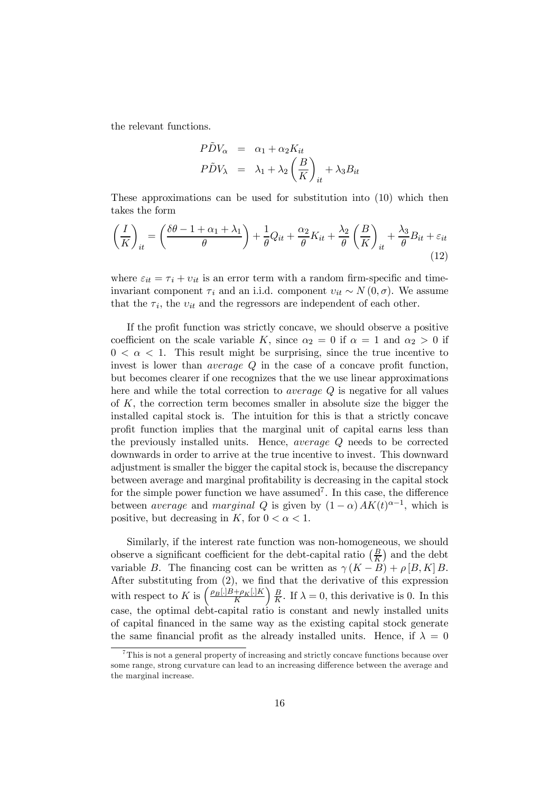the relevant functions.

$$
P\tilde{D}V_{\alpha} = \alpha_1 + \alpha_2 K_{it}
$$
  

$$
P\tilde{D}V_{\lambda} = \lambda_1 + \lambda_2 \left(\frac{B}{K}\right)_{it} + \lambda_3 B_{it}
$$

These approximations can be used for substitution into (10) which then takes the form

$$
\left(\frac{I}{K}\right)_{it} = \left(\frac{\delta\theta - 1 + \alpha_1 + \lambda_1}{\theta}\right) + \frac{1}{\theta}Q_{it} + \frac{\alpha_2}{\theta}K_{it} + \frac{\lambda_2}{\theta}\left(\frac{B}{K}\right)_{it} + \frac{\lambda_3}{\theta}B_{it} + \varepsilon_{it}
$$
\n(12)

where  $\varepsilon_{it} = \tau_i + v_{it}$  is an error term with a random firm-specific and timeinvariant component  $\tau_i$  and an i.i.d. component  $v_{it} \sim N (0, \sigma)$ . We assume that the  $\tau_i$ , the  $v_{it}$  and the regressors are independent of each other.

If the profit function was strictly concave, we should observe a positive coefficient on the scale variable K, since  $\alpha_2 = 0$  if  $\alpha = 1$  and  $\alpha_2 > 0$  if  $0 < \alpha < 1$ . This result might be surprising, since the true incentive to invest is lower than *average*  $Q$  in the case of a concave profit function, but becomes clearer if one recognizes that the we use linear approximations here and while the total correction to *average* Q is negative for all values of  $K$ , the correction term becomes smaller in absolute size the bigger the installed capital stock is. The intuition for this is that a strictly concave profit function implies that the marginal unit of capital earns less than the previously installed units. Hence, average Q needs to be corrected downwards in order to arrive at the true incentive to invest. This downward adjustment is smaller the bigger the capital stock is, because the discrepancy between average and marginal profitability is decreasing in the capital stock for the simple power function we have assumed<sup>7</sup>. In this case, the difference between *average* and *marginal* Q is given by  $(1 - \alpha) A K(t)^{\alpha - 1}$ , which is positive, but decreasing in K, for  $0 < \alpha < 1$ .

Similarly, if the interest rate function was non-homogeneous, we should observe a significant coefficient for the debt-capital ratio  $(\frac{B}{K})$  and the debt variable B. The financing cost can be written as  $\gamma (K - B) + \rho [B, K] B$ . After substituting from  $(2)$ , we find that the derivative of this expression with respect to K is  $\left(\frac{\rho_B[.]B + \rho_K[.]K}{K}\right)$  $\left( \frac{B}{2} \right)$  $\frac{B}{K}$ . If  $\lambda = 0$ , this derivative is 0. In this case, the optimal debt-capital ratio is constant and newly installed units of capital financed in the same way as the existing capital stock generate the same financial profit as the already installed units. Hence, if  $\lambda = 0$ 

 $7$ This is not a general property of increasing and strictly concave functions because over some range, strong curvature can lead to an increasing difference between the average and the marginal increase.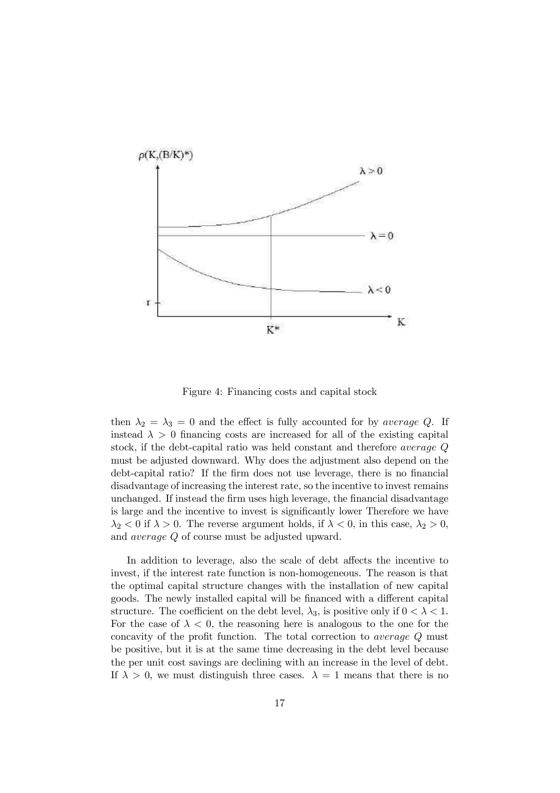

Figure 4: Financing costs and capital stock

then  $\lambda_2 = \lambda_3 = 0$  and the effect is fully accounted for by *average Q*. If instead  $\lambda > 0$  financing costs are increased for all of the existing capital stock, if the debt-capital ratio was held constant and therefore average Q must be adjusted downward. Why does the adjustment also depend on the debt-capital ratio? If the firm does not use leverage, there is no financial disadvantage of increasing the interest rate, so the incentive to invest remains unchanged. If instead the firm uses high leverage, the financial disadvantage is large and the incentive to invest is significantly lower Therefore we have  $\lambda_2 < 0$  if  $\lambda > 0$ . The reverse argument holds, if  $\lambda < 0$ , in this case,  $\lambda_2 > 0$ , and average Q of course must be adjusted upward.

In addition to leverage, also the scale of debt affects the incentive to invest, if the interest rate function is non-homogeneous. The reason is that the optimal capital structure changes with the installation of new capital goods. The newly installed capital will be financed with a different capital structure. The coefficient on the debt level,  $\lambda_3$ , is positive only if  $0 < \lambda < 1$ . For the case of  $\lambda < 0$ , the reasoning here is analogous to the one for the concavity of the profit function. The total correction to *average*  $Q$  must be positive, but it is at the same time decreasing in the debt level because the per unit cost savings are declining with an increase in the level of debt. If  $\lambda > 0$ , we must distinguish three cases.  $\lambda = 1$  means that there is no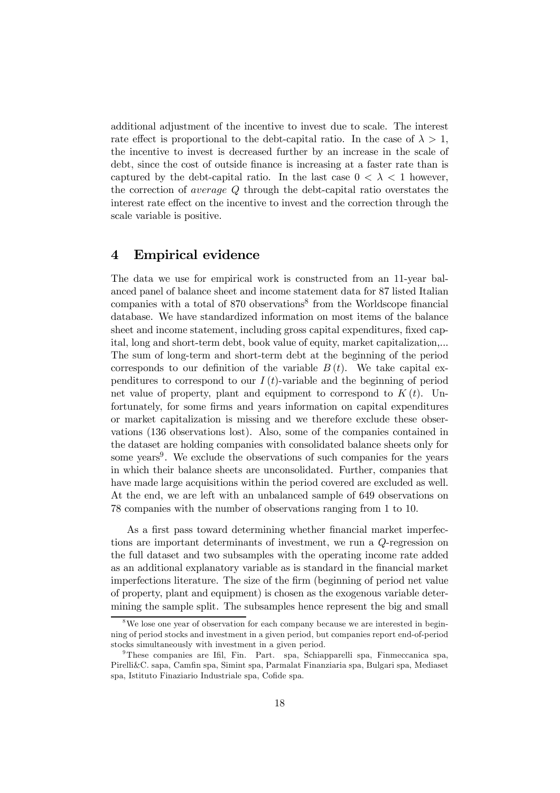additional adjustment of the incentive to invest due to scale. The interest rate effect is proportional to the debt-capital ratio. In the case of  $\lambda > 1$ , the incentive to invest is decreased further by an increase in the scale of debt, since the cost of outside finance is increasing at a faster rate than is captured by the debt-capital ratio. In the last case  $0 < \lambda < 1$  however, the correction of average Q through the debt-capital ratio overstates the interest rate effect on the incentive to invest and the correction through the scale variable is positive.

## 4 Empirical evidence

The data we use for empirical work is constructed from an 11-year balanced panel of balance sheet and income statement data for 87 listed Italian companies with a total of  $870$  observations<sup>8</sup> from the Worldscope financial database. We have standardized information on most items of the balance sheet and income statement, including gross capital expenditures, fixed capital, long and short-term debt, book value of equity, market capitalization,... The sum of long-term and short-term debt at the beginning of the period corresponds to our definition of the variable  $B(t)$ . We take capital expenditures to correspond to our  $I(t)$ -variable and the beginning of period net value of property, plant and equipment to correspond to  $K(t)$ . Unfortunately, for some firms and years information on capital expenditures or market capitalization is missing and we therefore exclude these observations (136 observations lost). Also, some of the companies contained in the dataset are holding companies with consolidated balance sheets only for some years<sup>9</sup>. We exclude the observations of such companies for the years in which their balance sheets are unconsolidated. Further, companies that have made large acquisitions within the period covered are excluded as well. At the end, we are left with an unbalanced sample of 649 observations on 78 companies with the number of observations ranging from 1 to 10.

As a first pass toward determining whether financial market imperfections are important determinants of investment, we run a Q-regression on the full dataset and two subsamples with the operating income rate added as an additional explanatory variable as is standard in the financial market imperfections literature. The size of the firm (beginning of period net value of property, plant and equipment) is chosen as the exogenous variable determining the sample split. The subsamples hence represent the big and small

<sup>&</sup>lt;sup>8</sup>We lose one year of observation for each company because we are interested in beginning of period stocks and investment in a given period, but companies report end-of-period stocks simultaneously with investment in a given period.

<sup>&</sup>lt;sup>9</sup>These companies are Ifil, Fin. Part. spa, Schiapparelli spa, Finmeccanica spa, Pirelli&C. sapa, Camfin spa, Simint spa, Parmalat Finanziaria spa, Bulgari spa, Mediaset spa, Istituto Finaziario Industriale spa, Cofide spa.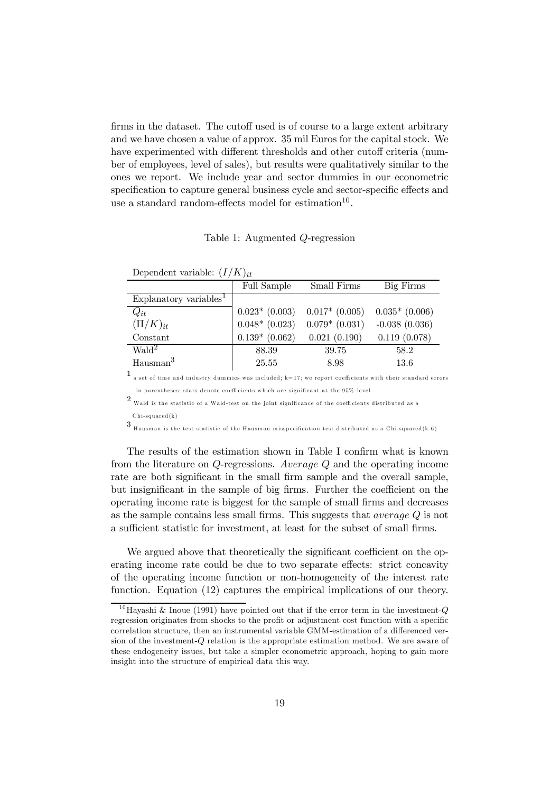firms in the dataset. The cutoff used is of course to a large extent arbitrary and we have chosen a value of approx. 35 mil Euros for the capital stock. We have experimented with different thresholds and other cutoff criteria (number of employees, level of sales), but results were qualitatively similar to the ones we report. We include year and sector dummies in our econometric specification to capture general business cycle and sector-specific effects and use a standard random-effects model for estimation<sup>10</sup>.

Table 1: Augmented Q-regression

| $D^{\text{c}}$                                  |                  |                    |                  |
|-------------------------------------------------|------------------|--------------------|------------------|
|                                                 | Full Sample      | Small Firms        | Big Firms        |
| Explanatory variables <sup><math>1</math></sup> |                  |                    |                  |
| $Q_{it}$                                        | $0.023*$ (0.003) | $0.017*$ (0.005)   | $0.035*$ (0.006) |
| $(\Pi/K)_{it}$                                  | $0.048*$ (0.023) | $0.079*$ $(0.031)$ | $-0.038(0.036)$  |
| Constant                                        | $0.139*(0.062)$  | 0.021(0.190)       | 0.119(0.078)     |
| Wald <sup>2</sup>                               | 88.39            | 39.75              | 58.2             |
| Hausman <sup>3</sup>                            | 25.55            | 8.98               | 13.6             |

Dependent variable:  $(I/K)_{it}$ 

 $^1$  a set of time and industry dummies was included; k=17; we report coefficients with their standard errors in parentheses; stars denote coefficients which are significant at the 95%-level

 $2$  Wald is the statistic of a Wald-test on the joint significance of the coefficients distributed as a

Chi-squared(k)

 $3\,$  Hausman is the test-statistic of the Hausman misspecification test distributed as a Chi-squared(k-6)

The results of the estimation shown in Table I confirm what is known from the literature on Q-regressions. Average Q and the operating income rate are both significant in the small firm sample and the overall sample, but insignificant in the sample of big firms. Further the coefficient on the operating income rate is biggest for the sample of small firms and decreases as the sample contains less small firms. This suggests that *average*  $\ddot{Q}$  is not a sufficient statistic for investment, at least for the subset of small firms.

We argued above that theoretically the significant coefficient on the operating income rate could be due to two separate effects: strict concavity of the operating income function or non-homogeneity of the interest rate function. Equation (12) captures the empirical implications of our theory.

<sup>&</sup>lt;sup>10</sup>Hayashi & Inoue (1991) have pointed out that if the error term in the investment- $Q$ regression originates from shocks to the profit or adjustment cost function with a specific correlation structure, then an instrumental variable GMM-estimation of a differenced version of the investment-Q relation is the appropriate estimation method. We are aware of these endogeneity issues, but take a simpler econometric approach, hoping to gain more insight into the structure of empirical data this way.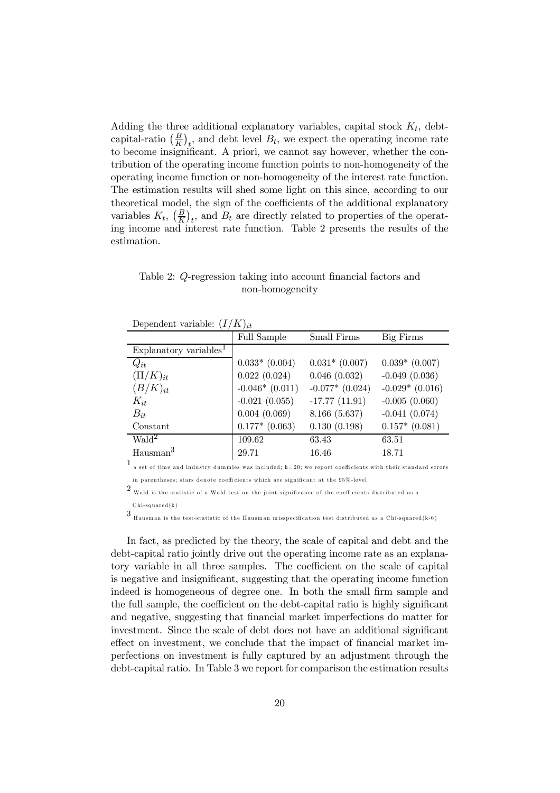Adding the three additional explanatory variables, capital stock  $K_t$ , debtcapital-ratio  $(\frac{B}{K})_t$ , and debt level  $B_t$ , we expect the operating income rate to become insignificant. A priori, we cannot say however, whether the contribution of the operating income function points to non-homogeneity of the operating income function or non-homogeneity of the interest rate function. The estimation results will shed some light on this since, according to our theoretical model, the sign of the coefficients of the additional explanatory variables  $K_t$ ,  $\left(\frac{B}{K}\right)_t$ , and  $B_t$  are directly related to properties of the operating income and interest rate function. Table 2 presents the results of the estimation.

Table 2: Q-regression taking into account financial factors and non-homogeneity

| Dependent variable: $(I/K)_{it}$ |  |  |  |
|----------------------------------|--|--|--|
|----------------------------------|--|--|--|

|                                    | $\sqrt{2}$       |                   |                    |
|------------------------------------|------------------|-------------------|--------------------|
|                                    | Full Sample      | Small Firms       | Big Firms          |
| Explanatory variables <sup>1</sup> |                  |                   |                    |
| $Q_{it}$                           | $0.033*$ (0.004) | $0.031*$ (0.007)  | $0.039*$ (0.007)   |
| $(\Pi/K)_{it}$                     | 0.022(0.024)     | 0.046(0.032)      | $-0.049(0.036)$    |
| $(B/K)_{it}$                       | $-0.046*(0.011)$ | $-0.077*$ (0.024) | $-0.029*(0.016)$   |
| $K_{it}$                           | $-0.021(0.055)$  | $-17.77(11.91)$   | $-0.005(0.060)$    |
| $B_{it}$                           | 0.004(0.069)     | 8.166 (5.637)     | $-0.041(0.074)$    |
| Constant                           | $0.177*$ (0.063) | 0.130(0.198)      | $0.157*$ $(0.081)$ |
| $\text{Wald}^2$                    | 109.62           | 63.43             | 63.51              |
| $H$ ausman $3$                     | 29.71            | 16.46             | 18.71              |
|                                    |                  |                   |                    |

1 a set of time and industry dummies was included; k=20; we report coefficients with their standard errors in parentheses; stars denote coefficients which are significant at the 95%-level

 $2$  Wald is the statistic of a Wald-test on the joint significance of the coefficients distributed as a

Chi-squared(k)

 $3\,$  Hausman is the test-statistic of the Hausman misspecification test distributed as a Chi-squared(k-6)

In fact, as predicted by the theory, the scale of capital and debt and the debt-capital ratio jointly drive out the operating income rate as an explanatory variable in all three samples. The coefficient on the scale of capital is negative and insignificant, suggesting that the operating income function indeed is homogeneous of degree one. In both the small firm sample and the full sample, the coefficient on the debt-capital ratio is highly significant and negative, suggesting that financial market imperfections do matter for investment. Since the scale of debt does not have an additional significant effect on investment, we conclude that the impact of financial market imperfections on investment is fully captured by an adjustment through the debt-capital ratio. In Table 3 we report for comparison the estimation results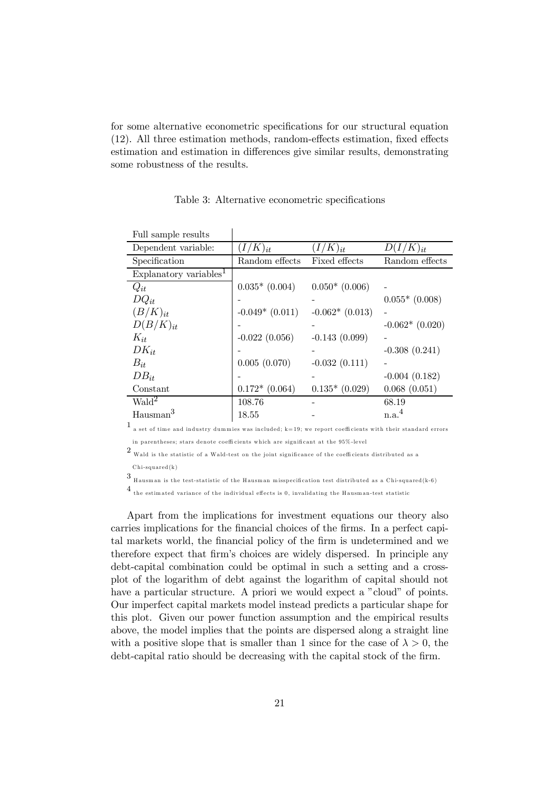for some alternative econometric specifications for our structural equation  $(12)$ . All three estimation methods, random-effects estimation, fixed effects estimation and estimation in differences give similar results, demonstrating some robustness of the results.

| Full sample results                |                  |                  |                   |
|------------------------------------|------------------|------------------|-------------------|
| Dependent variable:                | $(I/K)_{it}$     | $(I/K)_{it}$     | $D(I/K)_{it}$     |
| Specification                      | Random effects   | Fixed effects    | Random effects    |
| Explanatory variables <sup>1</sup> |                  |                  |                   |
| $Q_{it}$                           | $0.035*$ (0.004) | $0.050*(0.006)$  |                   |
| $DQ_{it}$                          |                  |                  | $0.055*$ (0.008)  |
| $(B/K)_{it}$                       | $-0.049*(0.011)$ | $-0.062*(0.013)$ |                   |
| $D(B/K)_{it}$                      |                  |                  | $-0.062*(0.020)$  |
| $K_{it}$                           | $-0.022(0.056)$  | $-0.143(0.099)$  |                   |
| $DK_{it}$                          |                  |                  | $-0.308(0.241)$   |
| $B_{it}$                           | 0.005(0.070)     | $-0.032(0.111)$  |                   |
| $DB_{it}$                          |                  |                  | $-0.004(0.182)$   |
| Constant                           | $0.172*(0.064)$  | $0.135*(0.029)$  | 0.068(0.051)      |
| $\text{Wald}^2$                    | 108.76           |                  | 68.19             |
| Hausman <sup>3</sup>               | 18.55            |                  | n.a. <sup>4</sup> |

Table 3: Alternative econometric specifications

l,

 $1$  a set of time and industry dummies was included; k=19; we report coefficients with their standard errors in parentheses; stars denote coefficients which are significant at the 95%-level

 $2$  Wald is the statistic of a Wald-test on the joint significance of the coefficients distributed as a

Chi-squared(k)

 $3\,$  Hausman is the test-statistic of the Hausman misspecification test distributed as a Chi-squared(k-6)

 $^4$  the estimated variance of the individual effects is 0, invalidating the Hausman-test statistic

Apart from the implications for investment equations our theory also carries implications for the financial choices of the firms. In a perfect capital markets world, the financial policy of the firm is undetermined and we therefore expect that firm's choices are widely dispersed. In principle any debt-capital combination could be optimal in such a setting and a crossplot of the logarithm of debt against the logarithm of capital should not have a particular structure. A priori we would expect a "cloud" of points. Our imperfect capital markets model instead predicts a particular shape for this plot. Given our power function assumption and the empirical results above, the model implies that the points are dispersed along a straight line with a positive slope that is smaller than 1 since for the case of  $\lambda > 0$ , the debt-capital ratio should be decreasing with the capital stock of the firm.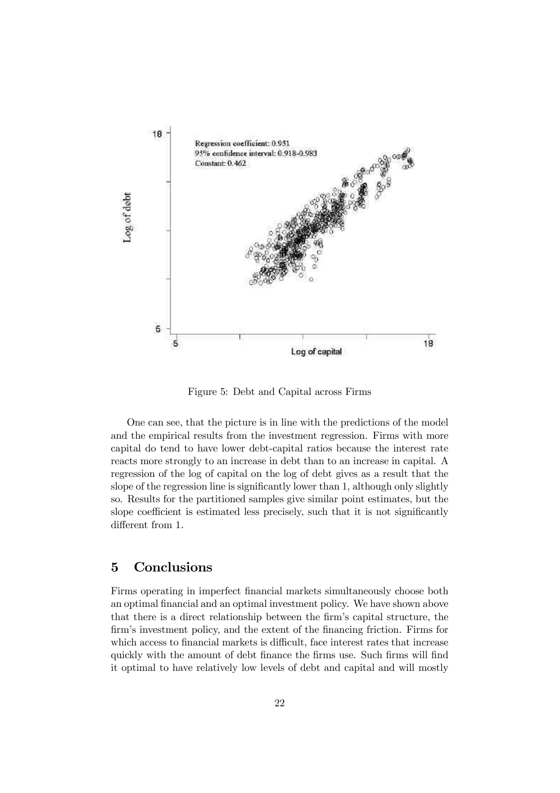

Figure 5: Debt and Capital across Firms

One can see, that the picture is in line with the predictions of the model and the empirical results from the investment regression. Firms with more capital do tend to have lower debt-capital ratios because the interest rate reacts more strongly to an increase in debt than to an increase in capital. A regression of the log of capital on the log of debt gives as a result that the slope of the regression line is significantly lower than  $1$ , although only slightly so. Results for the partitioned samples give similar point estimates, but the slope coefficient is estimated less precisely, such that it is not significantly different from 1.

## 5 Conclusions

Firms operating in imperfect financial markets simultaneously choose both an optimal financial and an optimal investment policy. We have shown above that there is a direct relationship between the firm's capital structure, the firm's investment policy, and the extent of the financing friction. Firms for which access to financial markets is difficult, face interest rates that increase quickly with the amount of debt finance the firms use. Such firms will find it optimal to have relatively low levels of debt and capital and will mostly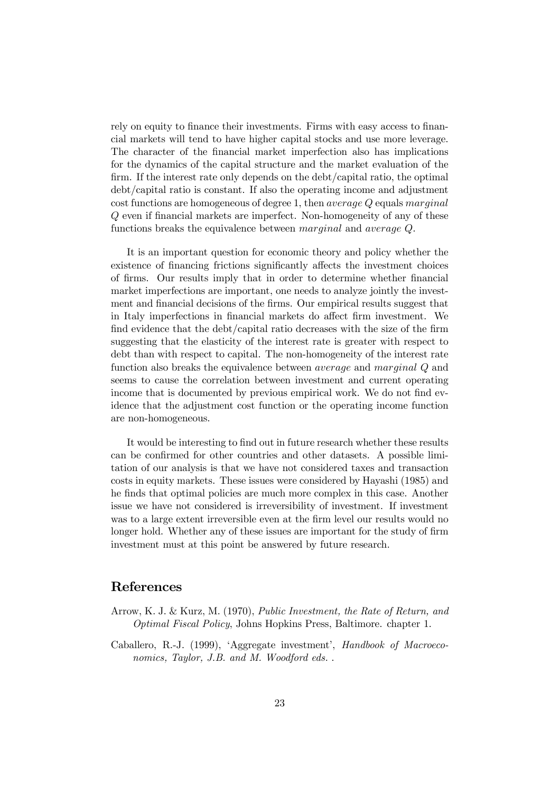rely on equity to finance their investments. Firms with easy access to financial markets will tend to have higher capital stocks and use more leverage. The character of the financial market imperfection also has implications for the dynamics of the capital structure and the market evaluation of the  $\lim$ . If the interest rate only depends on the debt/capital ratio, the optimal debt/capital ratio is constant. If also the operating income and adjustment cost functions are homogeneous of degree 1, then average Q equals marginal  $Q$  even if financial markets are imperfect. Non-homogeneity of any of these functions breaks the equivalence between marginal and average Q.

It is an important question for economic theory and policy whether the existence of financing frictions significantly affects the investment choices of firms. Our results imply that in order to determine whether financial market imperfections are important, one needs to analyze jointly the investment and financial decisions of the firms. Our empirical results suggest that in Italy imperfections in financial markets do affect firm investment. We find evidence that the debt/capital ratio decreases with the size of the firm suggesting that the elasticity of the interest rate is greater with respect to debt than with respect to capital. The non-homogeneity of the interest rate function also breaks the equivalence between average and marginal Q and seems to cause the correlation between investment and current operating income that is documented by previous empirical work. We do not find evidence that the adjustment cost function or the operating income function are non-homogeneous.

It would be interesting to find out in future research whether these results can be confirmed for other countries and other datasets. A possible limitation of our analysis is that we have not considered taxes and transaction costs in equity markets. These issues were considered by Hayashi (1985) and he finds that optimal policies are much more complex in this case. Another issue we have not considered is irreversibility of investment. If investment was to a large extent irreversible even at the firm level our results would no longer hold. Whether any of these issues are important for the study of firm investment must at this point be answered by future research.

### References

- Arrow, K. J. & Kurz, M. (1970), Public Investment, the Rate of Return, and Optimal Fiscal Policy, Johns Hopkins Press, Baltimore. chapter 1.
- Caballero, R.-J. (1999), 'Aggregate investment', Handbook of Macroeconomics, Taylor, J.B. and M. Woodford eds..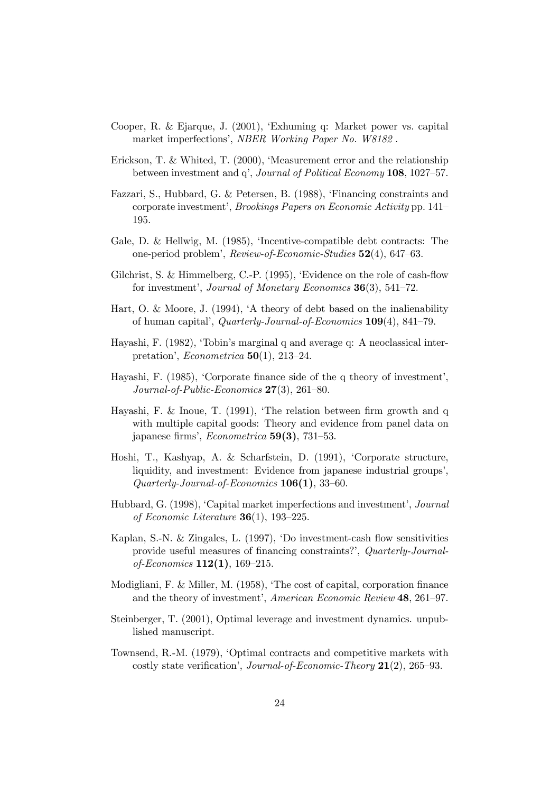- Cooper, R. & Ejarque, J. (2001), 'Exhuming q: Market power vs. capital market imperfections', NBER Working Paper No. W8182 .
- Erickson, T. & Whited, T. (2000), 'Measurement error and the relationship between investment and q', Journal of Political Economy 108, 1027–57.
- Fazzari, S., Hubbard, G. & Petersen, B. (1988), 'Financing constraints and corporate investment', Brookings Papers on Economic Activity pp. 141– 195.
- Gale, D. & Hellwig, M. (1985), 'Incentive-compatible debt contracts: The one-period problem', Review-of-Economic-Studies 52(4), 647–63.
- Gilchrist, S. & Himmelberg, C.-P. (1995), 'Evidence on the role of cash-flow for investment', Journal of Monetary Economics 36(3), 541–72.
- Hart, O. & Moore, J. (1994), 'A theory of debt based on the inalienability of human capital', Quarterly-Journal-of-Economics 109(4), 841–79.
- Hayashi, F. (1982), 'Tobin's marginal q and average q: A neoclassical interpretation', Econometrica 50(1), 213–24.
- Hayashi, F.  $(1985)$ , 'Corporate finance side of the q theory of investment', Journal-of-Public-Economics 27(3), 261–80.
- Hayashi, F. & Inoue, T.  $(1991)$ , 'The relation between firm growth and q with multiple capital goods: Theory and evidence from panel data on japanese firms', Econometrica  $59(3)$ , 731–53.
- Hoshi, T., Kashyap, A. & Scharfstein, D. (1991), 'Corporate structure, liquidity, and investment: Evidence from japanese industrial groups', Quarterly-Journal-of-Economics 106(1), 33–60.
- Hubbard, G. (1998), 'Capital market imperfections and investment', Journal of Economic Literature  $36(1)$ , 193-225.
- Kaplan, S.-N. & Zingales, L.  $(1997)$ , 'Do investment-cash flow sensitivities provide useful measures of financing constraints?', Quarterly-Journalof-Economics 112(1), 169–215.
- Modigliani, F. & Miller, M.  $(1958)$ , 'The cost of capital, corporation finance and the theory of investment', American Economic Review 48, 261–97.
- Steinberger, T. (2001), Optimal leverage and investment dynamics. unpublished manuscript.
- Townsend, R.-M. (1979), 'Optimal contracts and competitive markets with costly state verification', *Journal-of-Economic-Theory*  $21(2)$ , 265–93.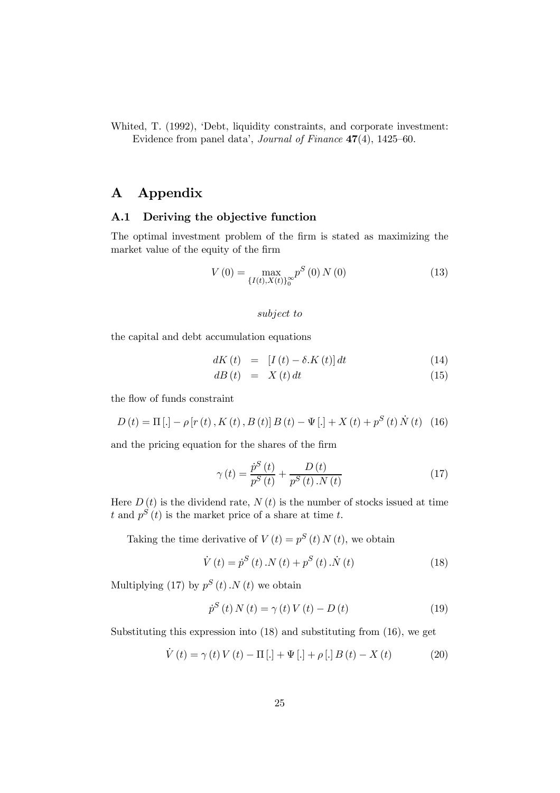Whited, T. (1992), 'Debt, liquidity constraints, and corporate investment: Evidence from panel data', Journal of Finance 47(4), 1425–60.

## A Appendix

#### A.1 Deriving the objective function

The optimal investment problem of the firm is stated as maximizing the market value of the equity of the firm

$$
V(0) = \max_{\{I(t), X(t)\}_0^{\infty}} p^S(0) N(0)
$$
 (13)

#### subject to

the capital and debt accumulation equations

$$
dK(t) = [I(t) - \delta \cdot K(t)] dt \qquad (14)
$$

$$
dB(t) = X(t) dt \t\t(15)
$$

the flow of funds constraint

$$
D(t) = \Pi [.] - \rho [r(t), K(t), B(t)] B(t) - \Psi [.] + X(t) + p^{S}(t) \dot{N}(t) \quad (16)
$$

and the pricing equation for the shares of the firm

$$
\gamma(t) = \frac{\dot{p}^{S}(t)}{p^{S}(t)} + \frac{D(t)}{p^{S}(t) \cdot N(t)}
$$
\n(17)

Here  $D(t)$  is the dividend rate,  $N(t)$  is the number of stocks issued at time t and  $p^{S}(t)$  is the market price of a share at time t.

Taking the time derivative of  $V(t) = p^{S}(t) N(t)$ , we obtain

$$
\dot{V}(t) = \dot{p}^{S}(t) \, .N(t) + p^{S}(t) \, .\dot{N}(t) \tag{18}
$$

Multiplying (17) by  $p^{S}(t)$ . N(t) we obtain

$$
\dot{p}^{S}(t) N(t) = \gamma(t) V(t) - D(t)
$$
\n(19)

Substituting this expression into (18) and substituting from (16), we get

$$
\dot{V}(t) = \gamma(t) V(t) - \Pi [.] + \Psi [.] + \rho [.] B(t) - X(t) \tag{20}
$$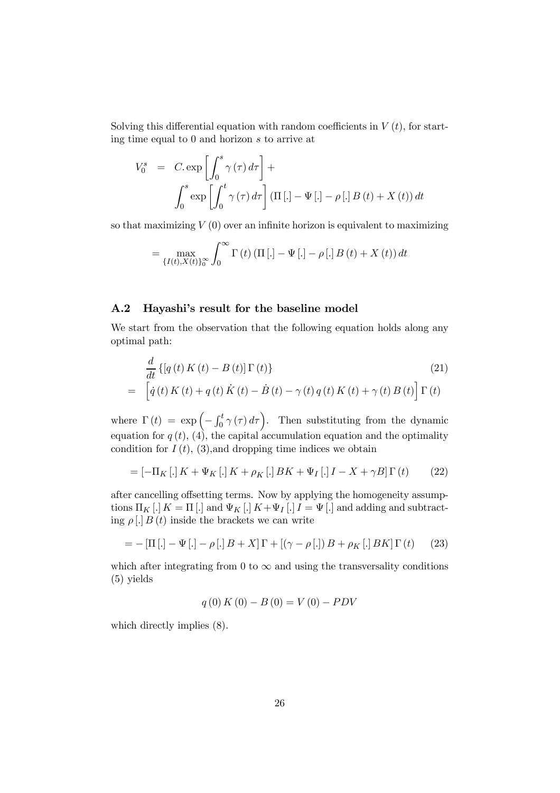Solving this differential equation with random coefficients in  $V(t)$ , for starting time equal to 0 and horizon s to arrive at

$$
V_0^s = C \exp \left[ \int_0^s \gamma(\tau) d\tau \right] +
$$
  

$$
\int_0^s \exp \left[ \int_0^t \gamma(\tau) d\tau \right] (\Pi [.] - \Psi [.] - \rho [.] B(t) + X(t)) dt
$$

so that maximizing  $V(0)$  over an infinite horizon is equivalent to maximizing

$$
= \max_{\{I(t), X(t)\}_{0}^{\infty}} \int_{0}^{\infty} \Gamma(t) \left( \Pi\left[ . \right] - \Psi\left[ . \right] - \rho\left[ . \right] B(t) + X(t) \right) dt
$$

#### A.2 Hayashi's result for the baseline model

We start from the observation that the following equation holds along any optimal path:

$$
\frac{d}{dt}\left\{[q(t) K(t) - B(t)] \Gamma(t)\right\}
$$
\n
$$
= \left[\dot{q}(t) K(t) + q(t) \dot{K}(t) - \dot{B}(t) - \gamma(t) q(t) K(t) + \gamma(t) B(t)\right] \Gamma(t)
$$
\n(21)

where  $\Gamma(t) = \exp \left($  $-\int_0^t \gamma(\tau) d\tau$ . Then substituting from the dynamic equation for  $q(t)$ , (4), the capital accumulation equation and the optimality condition for  $I(t)$ , (3), and dropping time indices we obtain

$$
= [-\Pi_K[.]K + \Psi_K[.]K + \rho_K[.]BK + \Psi_I[.]I - X + \gamma B]\Gamma(t) \qquad (22)
$$

after cancelling offsetting terms. Now by applying the homogeneity assumptions  $\Pi_K$  [.]  $K = \Pi$  [.] and  $\Psi_K$  [.]  $K + \Psi_I$  [.]  $I = \Psi$  [.] and adding and subtracting  $\rho$ [.]  $B(t)$  inside the brackets we can write

$$
= -\left[\Pi\left[.\right] - \Psi\left[.\right] - \rho\left[.\right]B + X\right]\Gamma + \left[\left(\gamma - \rho\left[.\right]\right)B + \rho_K\left[.\right]BK\right]\Gamma\left(t\right) \tag{23}
$$

which after integrating from 0 to  $\infty$  and using the transversality conditions (5) yields

$$
q(0) K(0) - B(0) = V(0) - PDV
$$

which directly implies (8).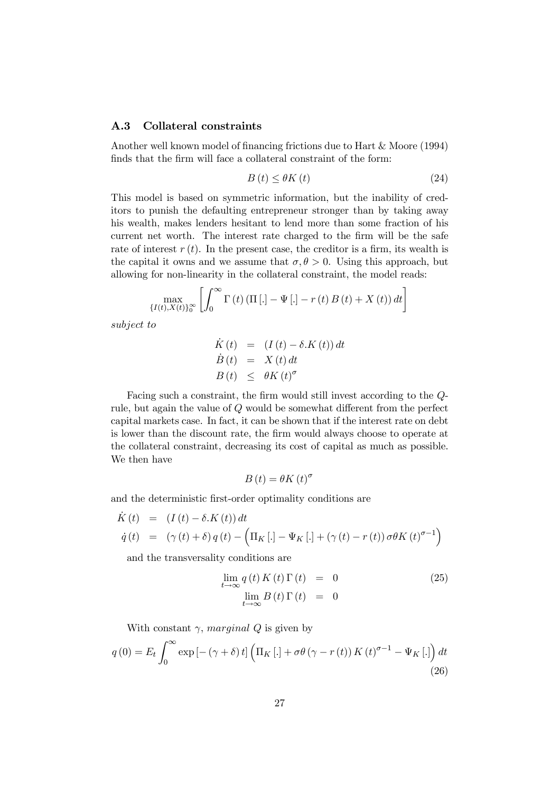#### A.3 Collateral constraints

Another well known model of financing frictions due to Hart  $& \text{Moore } (1994)$ finds that the firm will face a collateral constraint of the form:

$$
B\left(t\right) \leq \theta K\left(t\right) \tag{24}
$$

This model is based on symmetric information, but the inability of creditors to punish the defaulting entrepreneur stronger than by taking away his wealth, makes lenders hesitant to lend more than some fraction of his current net worth. The interest rate charged to the firm will be the safe rate of interest  $r(t)$ . In the present case, the creditor is a firm, its wealth is the capital it owns and we assume that  $\sigma, \theta > 0$ . Using this approach, but allowing for non-linearity in the collateral constraint, the model reads:

$$
\max_{\{I(t),X(t)\}_{0}^{\infty}}\left[\int_{0}^{\infty}\Gamma\left(t\right)\left(\Pi\left[.\right]-\Psi\left[.\right]-r\left(t\right)B\left(t\right)+X\left(t\right)\right)dt\right]
$$

subject to

$$
\dot{K}(t) = (I(t) - \delta.K(t)) dt
$$
  
\n
$$
\dot{B}(t) = X(t) dt
$$
  
\n
$$
B(t) \leq \theta K(t)^{\sigma}
$$

Facing such a constraint, the firm would still invest according to the  $Q$ rule, but again the value of  $Q$  would be somewhat different from the perfect capital markets case. In fact, it can be shown that if the interest rate on debt is lower than the discount rate, the firm would always choose to operate at the collateral constraint, decreasing its cost of capital as much as possible. We then have

$$
B\left(t\right) = \theta K\left(t\right)^{\sigma}
$$

and the deterministic first-order optimality conditions are

$$
\dot{K}(t) = (I(t) - \delta.K(t))dt
$$
\n
$$
\dot{q}(t) = (\gamma(t) + \delta)q(t) - (\Pi_K [.] - \Psi_K [.] + (\gamma(t) - r(t))\sigma\theta K(t)^{\sigma-1})
$$

and the transversality conditions are

$$
\lim_{t \to \infty} q(t) K(t) \Gamma(t) = 0
$$
\n
$$
\lim_{t \to \infty} B(t) \Gamma(t) = 0
$$
\n(25)

With constant  $\gamma$ , marginal Q is given by

$$
q(0) = E_t \int_0^\infty \exp\left[-\left(\gamma + \delta\right)t\right] \left(\Pi_K\left[.\right] + \sigma\theta\left(\gamma - r\left(t\right)\right)K\left(t\right)^{\sigma - 1} - \Psi_K\left[.\right]\right) dt
$$
\n(26)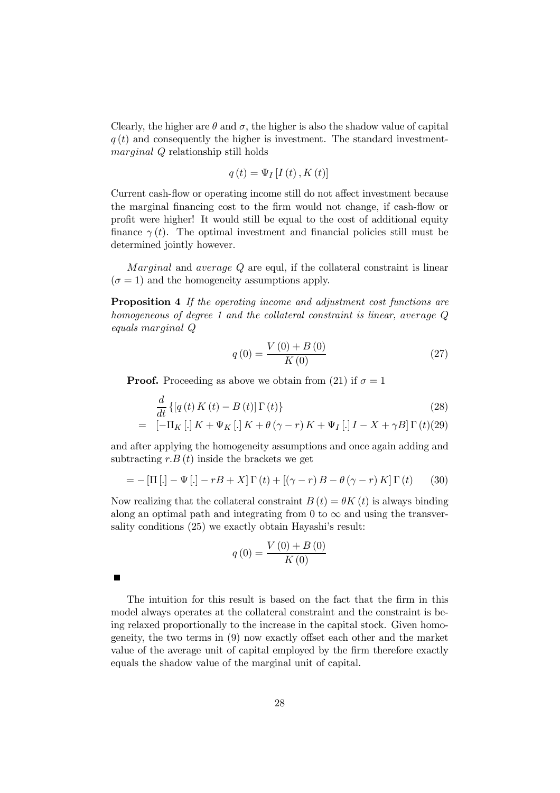Clearly, the higher are  $\theta$  and  $\sigma$ , the higher is also the shadow value of capital  $q(t)$  and consequently the higher is investment. The standard investmentmarginal Q relationship still holds

$$
q(t) = \Psi_I[I(t), K(t)]
$$

Current cash-flow or operating income still do not affect investment because the marginal financing cost to the firm would not change, if cash-flow or profit were higher! It would still be equal to the cost of additional equity finance  $\gamma(t)$ . The optimal investment and financial policies still must be determined jointly however.

Marginal and average Q are equl, if the collateral constraint is linear  $(\sigma = 1)$  and the homogeneity assumptions apply.

Proposition 4 If the operating income and adjustment cost functions are homogeneous of degree 1 and the collateral constraint is linear, average Q equals marginal Q

$$
q(0) = \frac{V(0) + B(0)}{K(0)}
$$
\n(27)

**Proof.** Proceeding as above we obtain from (21) if  $\sigma = 1$ 

$$
\frac{d}{dt}\left\{ \left[q\left(t\right)K\left(t\right) - B\left(t\right)\right]\Gamma\left(t\right) \right\} \tag{28}
$$

$$
= [-\Pi_K [.] K + \Psi_K [.] K + \theta (\gamma - r) K + \Psi_I [.] I - X + \gamma B] \Gamma (t) (29)
$$

and after applying the homogeneity assumptions and once again adding and subtracting  $r.B(t)$  inside the brackets we get

$$
= -\left[\Pi\left[\cdot\right] - \Psi\left[\cdot\right] - rB + X\right]\Gamma\left(t\right) + \left[\left(\gamma - r\right)B - \theta\left(\gamma - r\right)K\right]\Gamma\left(t\right) \tag{30}
$$

Now realizing that the collateral constraint  $B(t) = \theta K(t)$  is always binding along an optimal path and integrating from 0 to  $\infty$  and using the transversality conditions (25) we exactly obtain Hayashi's result:

$$
q(0) = \frac{V(0) + B(0)}{K(0)}
$$

The intuition for this result is based on the fact that the firm in this model always operates at the collateral constraint and the constraint is being relaxed proportionally to the increase in the capital stock. Given homogeneity, the two terms in  $(9)$  now exactly offset each other and the market value of the average unit of capital employed by the firm therefore exactly equals the shadow value of the marginal unit of capital.